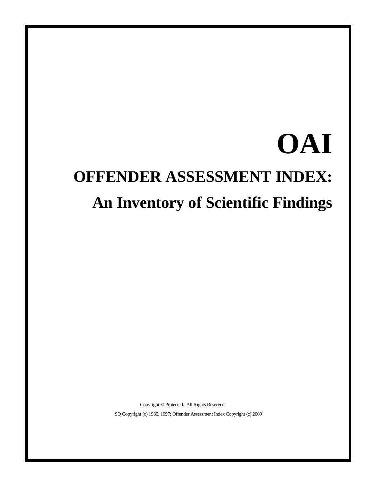# **OAI OFFENDER ASSESSMENT INDEX: An Inventory of Scientific Findings**

Copyright © Protected. All Rights Reserved. SQ Copyright (c) 1985, 1997; Offender Assessment Index Copyright (c) 2009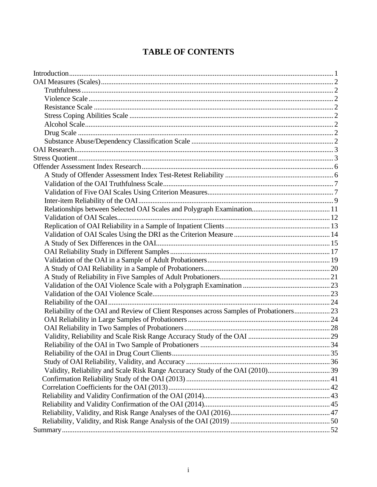### **TABLE OF CONTENTS**

| Reliability of the OAI and Review of Client Responses across Samples of Probationers 23 |  |
|-----------------------------------------------------------------------------------------|--|
|                                                                                         |  |
|                                                                                         |  |
|                                                                                         |  |
|                                                                                         |  |
|                                                                                         |  |
|                                                                                         |  |
|                                                                                         |  |
|                                                                                         |  |
|                                                                                         |  |
|                                                                                         |  |
|                                                                                         |  |
|                                                                                         |  |
|                                                                                         |  |
|                                                                                         |  |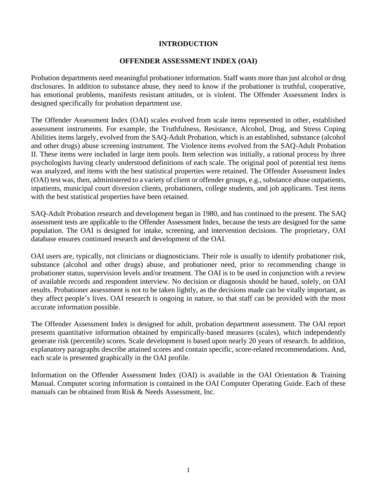### **INTRODUCTION**

### **OFFENDER ASSESSMENT INDEX (OAI)**

Probation departments need meaningful probationer information. Staff wants more than just alcohol or drug disclosures. In addition to substance abuse, they need to know if the probationer is truthful, cooperative, has emotional problems, manifests resistant attitudes, or is violent. The Offender Assessment Index is designed specifically for probation department use.

The Offender Assessment Index (OAI) scales evolved from scale items represented in other, established assessment instruments. For example, the Truthfulness, Resistance, Alcohol, Drug, and Stress Coping Abilities items largely, evolved from the SAQ-Adult Probation, which is an established, substance (alcohol and other drugs) abuse screening instrument. The Violence items evolved from the SAQ-Adult Probation II. These items were included in large item pools. Item selection was initially, a rational process by three psychologists having clearly understood definitions of each scale. The original pool of potential test items was analyzed, and items with the best statistical properties were retained. The Offender Assessment Index (OAI) test was, then, administered to a variety of client or offender groups, e.g., substance abuse outpatients, inpatients, municipal court diversion clients, probationers, college students, and job applicants. Test items with the best statistical properties have been retained.

SAQ-Adult Probation research and development began in 1980, and has continued to the present. The SAQ assessment tests are applicable to the Offender Assessment Index, because the tests are designed for the same population. The OAI is designed for intake, screening, and intervention decisions. The proprietary, OAI database ensures continued research and development of the OAI.

OAI users are, typically, not clinicians or diagnosticians. Their role is usually to identify probationer risk, substance (alcohol and other drugs) abuse, and probationer need, prior to recommending change in probationer status, supervision levels and/or treatment. The OAI is to be used in conjunction with a review of available records and respondent interview. No decision or diagnosis should be based, solely, on OAI results. Probationer assessment is not to be taken lightly, as the decisions made can be vitally important, as they affect people's lives. OAI research is ongoing in nature, so that staff can be provided with the most accurate information possible.

The Offender Assessment Index is designed for adult, probation department assessment. The OAI report presents quantitative information obtained by empirically-based measures (scales), which independently generate risk (percentile) scores. Scale development is based upon nearly 20 years of research. In addition, explanatory paragraphs describe attained scores and contain specific, score-related recommendations. And, each scale is presented graphically in the OAI profile.

Information on the Offender Assessment Index (OAI) is available in the OAI Orientation & Training Manual. Computer scoring information is contained in the OAI Computer Operating Guide. Each of these manuals can be obtained from Risk & Needs Assessment, Inc.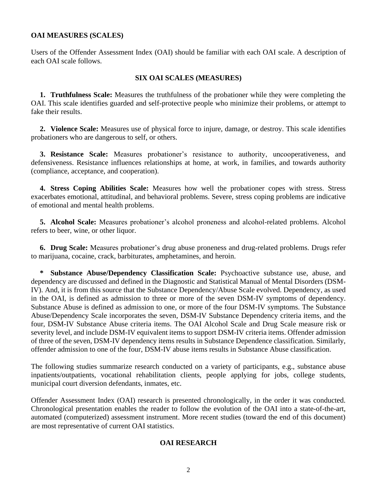### **OAI MEASURES (SCALES)**

Users of the Offender Assessment Index (OAI) should be familiar with each OAI scale. A description of each OAI scale follows.

### **SIX OAI SCALES (MEASURES)**

**1. Truthfulness Scale:** Measures the truthfulness of the probationer while they were completing the OAI. This scale identifies guarded and self-protective people who minimize their problems, or attempt to fake their results.

**2. Violence Scale:** Measures use of physical force to injure, damage, or destroy. This scale identifies probationers who are dangerous to self, or others.

**3. Resistance Scale:** Measures probationer's resistance to authority, uncooperativeness, and defensiveness. Resistance influences relationships at home, at work, in families, and towards authority (compliance, acceptance, and cooperation).

**4. Stress Coping Abilities Scale:** Measures how well the probationer copes with stress. Stress exacerbates emotional, attitudinal, and behavioral problems. Severe, stress coping problems are indicative of emotional and mental health problems.

**5. Alcohol Scale:** Measures probationer's alcohol proneness and alcohol-related problems. Alcohol refers to beer, wine, or other liquor.

**6. Drug Scale:** Measures probationer's drug abuse proneness and drug-related problems. Drugs refer to marijuana, cocaine, crack, barbiturates, amphetamines, and heroin.

**\* Substance Abuse/Dependency Classification Scale:** Psychoactive substance use, abuse, and dependency are discussed and defined in the Diagnostic and Statistical Manual of Mental Disorders (DSM-IV). And, it is from this source that the Substance Dependency/Abuse Scale evolved. Dependency, as used in the OAI, is defined as admission to three or more of the seven DSM-IV symptoms of dependency. Substance Abuse is defined as admission to one, or more of the four DSM-IV symptoms. The Substance Abuse/Dependency Scale incorporates the seven, DSM-IV Substance Dependency criteria items, and the four, DSM-IV Substance Abuse criteria items. The OAI Alcohol Scale and Drug Scale measure risk or severity level, and include DSM-IV equivalent items to support DSM-IV criteria items. Offender admission of three of the seven, DSM-IV dependency items results in Substance Dependence classification. Similarly, offender admission to one of the four, DSM-IV abuse items results in Substance Abuse classification.

The following studies summarize research conducted on a variety of participants, e.g., substance abuse inpatients/outpatients, vocational rehabilitation clients, people applying for jobs, college students, municipal court diversion defendants, inmates, etc.

Offender Assessment Index (OAI) research is presented chronologically, in the order it was conducted. Chronological presentation enables the reader to follow the evolution of the OAI into a state-of-the-art, automated (computerized) assessment instrument. More recent studies (toward the end of this document) are most representative of current OAI statistics.

### **OAI RESEARCH**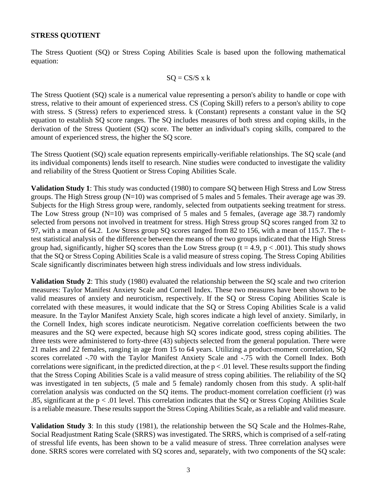### **STRESS QUOTIENT**

The Stress Quotient (SQ) or Stress Coping Abilities Scale is based upon the following mathematical equation:

$$
SQ = CS/S \times k
$$

The Stress Quotient (SQ) scale is a numerical value representing a person's ability to handle or cope with stress, relative to their amount of experienced stress. CS (Coping Skill) refers to a person's ability to cope with stress. S (Stress) refers to experienced stress. k (Constant) represents a constant value in the SQ equation to establish SQ score ranges. The SQ includes measures of both stress and coping skills, in the derivation of the Stress Quotient (SQ) score. The better an individual's coping skills, compared to the amount of experienced stress, the higher the SQ score.

The Stress Quotient (SQ) scale equation represents empirically-verifiable relationships. The SQ scale (and its individual components) lends itself to research. Nine studies were conducted to investigate the validity and reliability of the Stress Quotient or Stress Coping Abilities Scale.

**Validation Study 1**: This study was conducted (1980) to compare SQ between High Stress and Low Stress groups. The High Stress group (N=10) was comprised of 5 males and 5 females. Their average age was 39. Subjects for the High Stress group were, randomly, selected from outpatients seeking treatment for stress. The Low Stress group  $(N=10)$  was comprised of 5 males and 5 females, (average age 38.7) randomly selected from persons not involved in treatment for stress. High Stress group SQ scores ranged from 32 to 97, with a mean of 64.2. Low Stress group SQ scores ranged from 82 to 156, with a mean of 115.7. The ttest statistical analysis of the difference between the means of the two groups indicated that the High Stress group had, significantly, higher SQ scores than the Low Stress group ( $t = 4.9$ ,  $p < .001$ ). This study shows that the SQ or Stress Coping Abilities Scale is a valid measure of stress coping. The Stress Coping Abilities Scale significantly discriminates between high stress individuals and low stress individuals.

**Validation Study 2**: This study (1980) evaluated the relationship between the SQ scale and two criterion measures: Taylor Manifest Anxiety Scale and Cornell Index. These two measures have been shown to be valid measures of anxiety and neuroticism, respectively. If the SQ or Stress Coping Abilities Scale is correlated with these measures, it would indicate that the SQ or Stress Coping Abilities Scale is a valid measure. In the Taylor Manifest Anxiety Scale, high scores indicate a high level of anxiety. Similarly, in the Cornell Index, high scores indicate neuroticism. Negative correlation coefficients between the two measures and the SQ were expected, because high SQ scores indicate good, stress coping abilities. The three tests were administered to forty-three (43) subjects selected from the general population. There were 21 males and 22 females, ranging in age from 15 to 64 years. Utilizing a product-moment correlation, SQ scores correlated -.70 with the Taylor Manifest Anxiety Scale and -.75 with the Cornell Index. Both correlations were significant, in the predicted direction, at the  $p < .01$  level. These results support the finding that the Stress Coping Abilities Scale is a valid measure of stress coping abilities. The reliability of the SQ was investigated in ten subjects, (5 male and 5 female) randomly chosen from this study. A split-half correlation analysis was conducted on the SQ items. The product-moment correlation coefficient (r) was .85, significant at the  $p < 0.01$  level. This correlation indicates that the SQ or Stress Coping Abilities Scale is a reliable measure. These results support the Stress Coping Abilities Scale, as a reliable and valid measure.

**Validation Study 3**: In this study (1981), the relationship between the SQ Scale and the Holmes-Rahe, Social Readjustment Rating Scale (SRRS) was investigated. The SRRS, which is comprised of a self-rating of stressful life events, has been shown to be a valid measure of stress. Three correlation analyses were done. SRRS scores were correlated with SQ scores and, separately, with two components of the SQ scale: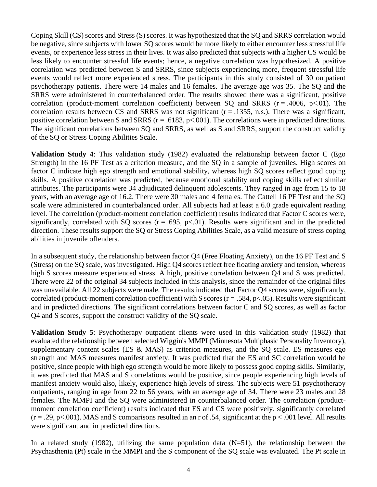Coping Skill (CS) scores and Stress (S) scores. It was hypothesized that the SQ and SRRS correlation would be negative, since subjects with lower SQ scores would be more likely to either encounter less stressful life events, or experience less stress in their lives. It was also predicted that subjects with a higher CS would be less likely to encounter stressful life events; hence, a negative correlation was hypothesized. A positive correlation was predicted between S and SRRS, since subjects experiencing more, frequent stressful life events would reflect more experienced stress. The participants in this study consisted of 30 outpatient psychotherapy patients. There were 14 males and 16 females. The average age was 35. The SQ and the SRRS were administered in counterbalanced order. The results showed there was a significant, positive correlation (product-moment correlation coefficient) between SQ and SRRS ( $r = .4006$ ,  $p < .01$ ). The correlation results between CS and SRRS was not significant  $(r = .1355, n.s.)$ . There was a significant, positive correlation between S and SRRS ( $r = .6183$ ,  $p < .001$ ). The correlations were in predicted directions. The significant correlations between SQ and SRRS, as well as S and SRRS, support the construct validity of the SQ or Stress Coping Abilities Scale.

**Validation Study 4**: This validation study (1982) evaluated the relationship between factor C (Ego Strength) in the 16 PF Test as a criterion measure, and the SQ in a sample of juveniles. High scores on factor C indicate high ego strength and emotional stability, whereas high SQ scores reflect good coping skills. A positive correlation was predicted, because emotional stability and coping skills reflect similar attributes. The participants were 34 adjudicated delinquent adolescents. They ranged in age from 15 to 18 years, with an average age of 16.2. There were 30 males and 4 females. The Cattell 16 PF Test and the SQ scale were administered in counterbalanced order. All subjects had at least a 6.0 grade equivalent reading level. The correlation (product-moment correlation coefficient) results indicated that Factor C scores were, significantly, correlated with SQ scores  $(r = .695, p < .01)$ . Results were significant and in the predicted direction. These results support the SQ or Stress Coping Abilities Scale, as a valid measure of stress coping abilities in juvenile offenders.

In a subsequent study, the relationship between factor Q4 (Free Floating Anxiety), on the 16 PF Test and S (Stress) on the SQ scale, was investigated. High Q4 scores reflect free floating anxiety and tension, whereas high S scores measure experienced stress. A high, positive correlation between Q4 and S was predicted. There were 22 of the original 34 subjects included in this analysis, since the remainder of the original files was unavailable. All 22 subjects were male. The results indicated that Factor Q4 scores were, significantly, correlated (product-moment correlation coefficient) with S scores ( $r = .584$ ,  $p < .05$ ). Results were significant and in predicted directions. The significant correlations between factor C and SQ scores, as well as factor Q4 and S scores, support the construct validity of the SQ scale.

**Validation Study 5**: Psychotherapy outpatient clients were used in this validation study (1982) that evaluated the relationship between selected Wiggin's MMPI (Minnesota Multiphasic Personality Inventory), supplementary content scales (ES & MAS) as criterion measures, and the SQ scale. ES measures ego strength and MAS measures manifest anxiety. It was predicted that the ES and SC correlation would be positive, since people with high ego strength would be more likely to possess good coping skills. Similarly, it was predicted that MAS and S correlations would be positive, since people experiencing high levels of manifest anxiety would also, likely, experience high levels of stress. The subjects were 51 psychotherapy outpatients, ranging in age from 22 to 56 years, with an average age of 34. There were 23 males and 28 females. The MMPI and the SQ were administered in counterbalanced order. The correlation (productmoment correlation coefficient) results indicated that ES and CS were positively, significantly correlated  $(r = .29, p<.001)$ . MAS and S comparisons resulted in an r of .54, significant at the  $p < .001$  level. All results were significant and in predicted directions.

In a related study (1982), utilizing the same population data  $(N=51)$ , the relationship between the Psychasthenia (Pt) scale in the MMPI and the S component of the SQ scale was evaluated. The Pt scale in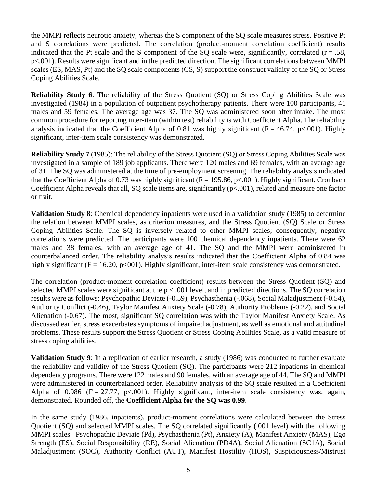the MMPI reflects neurotic anxiety, whereas the S component of the SQ scale measures stress. Positive Pt and S correlations were predicted. The correlation (product-moment correlation coefficient) results indicated that the Pt scale and the S component of the SQ scale were, significantly, correlated ( $r = .58$ , p<.001). Results were significant and in the predicted direction. The significant correlations between MMPI scales (ES, MAS, Pt) and the SQ scale components (CS, S) support the construct validity of the SQ or Stress Coping Abilities Scale.

**Reliability Study 6**: The reliability of the Stress Quotient (SQ) or Stress Coping Abilities Scale was investigated (1984) in a population of outpatient psychotherapy patients. There were 100 participants, 41 males and 59 females. The average age was 37. The SQ was administered soon after intake. The most common procedure for reporting inter-item (within test) reliability is with Coefficient Alpha. The reliability analysis indicated that the Coefficient Alpha of 0.81 was highly significant ( $F = 46.74$ ,  $p < .001$ ). Highly significant, inter-item scale consistency was demonstrated.

**Reliability Study 7** (1985): The reliability of the Stress Quotient (SQ) or Stress Coping Abilities Scale was investigated in a sample of 189 job applicants. There were 120 males and 69 females, with an average age of 31. The SQ was administered at the time of pre-employment screening. The reliability analysis indicated that the Coefficient Alpha of 0.73 was highly significant ( $F = 195.86$ ,  $p < .001$ ). Highly significant, Cronbach Coefficient Alpha reveals that all, SQ scale items are, significantly (p<.001), related and measure one factor or trait.

**Validation Study 8**: Chemical dependency inpatients were used in a validation study (1985) to determine the relation between MMPI scales, as criterion measures, and the Stress Quotient (SQ) Scale or Stress Coping Abilities Scale. The SQ is inversely related to other MMPI scales; consequently, negative correlations were predicted. The participants were 100 chemical dependency inpatients. There were 62 males and 38 females, with an average age of 41. The SQ and the MMPI were administered in counterbalanced order. The reliability analysis results indicated that the Coefficient Alpha of 0.84 was highly significant ( $F = 16.20$ ,  $p<001$ ). Highly significant, inter-item scale consistency was demonstrated.

The correlation (product-moment correlation coefficient) results between the Stress Quotient (SQ) and selected MMPI scales were significant at the p < .001 level, and in predicted directions. The SQ correlation results were as follows: Psychopathic Deviate (-0.59), Psychasthenia (-.068), Social Maladjustment (-0.54), Authority Conflict (-0.46), Taylor Manifest Anxiety Scale (-0.78), Authority Problems (-0.22), and Social Alienation (-0.67). The most, significant SQ correlation was with the Taylor Manifest Anxiety Scale. As discussed earlier, stress exacerbates symptoms of impaired adjustment, as well as emotional and attitudinal problems. These results support the Stress Quotient or Stress Coping Abilities Scale, as a valid measure of stress coping abilities.

**Validation Study 9**: In a replication of earlier research, a study (1986) was conducted to further evaluate the reliability and validity of the Stress Quotient (SQ). The participants were 212 inpatients in chemical dependency programs. There were 122 males and 90 females, with an average age of 44. The SQ and MMPI were administered in counterbalanced order. Reliability analysis of the SQ scale resulted in a Coefficient Alpha of 0.986 (F = 27.77, p<.001). Highly significant, inter-item scale consistency was, again, demonstrated. Rounded off, the **Coefficient Alpha for the SQ was 0.99**.

In the same study (1986, inpatients), product-moment correlations were calculated between the Stress Quotient (SQ) and selected MMPI scales. The SQ correlated significantly (.001 level) with the following MMPI scales: Psychopathic Deviate (Pd), Psychasthenia (Pt), Anxiety (A), Manifest Anxiety (MAS), Ego Strength (ES), Social Responsibility (RE), Social Alienation (PD4A), Social Alienation (SC1A), Social Maladjustment (SOC), Authority Conflict (AUT), Manifest Hostility (HOS), Suspiciousness/Mistrust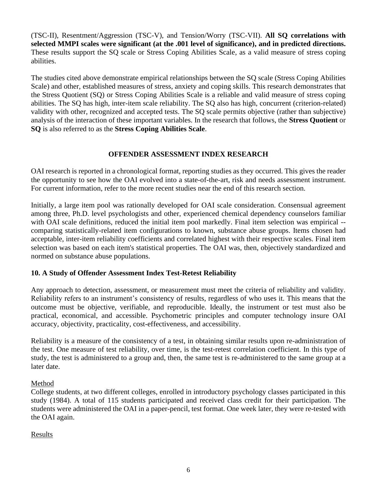(TSC-II), Resentment/Aggression (TSC-V), and Tension/Worry (TSC-VII). **All SQ correlations with selected MMPI scales were significant (at the .001 level of significance), and in predicted directions.** These results support the SQ scale or Stress Coping Abilities Scale, as a valid measure of stress coping abilities.

The studies cited above demonstrate empirical relationships between the SQ scale (Stress Coping Abilities Scale) and other, established measures of stress, anxiety and coping skills. This research demonstrates that the Stress Quotient (SQ) or Stress Coping Abilities Scale is a reliable and valid measure of stress coping abilities. The SQ has high, inter-item scale reliability. The SQ also has high, concurrent (criterion-related) validity with other, recognized and accepted tests. The SQ scale permits objective (rather than subjective) analysis of the interaction of these important variables. In the research that follows, the **Stress Quotient** or **SQ** is also referred to as the **Stress Coping Abilities Scale**.

### **OFFENDER ASSESSMENT INDEX RESEARCH**

OAI research is reported in a chronological format, reporting studies as they occurred. This gives the reader the opportunity to see how the OAI evolved into a state-of-the-art, risk and needs assessment instrument. For current information, refer to the more recent studies near the end of this research section.

Initially, a large item pool was rationally developed for OAI scale consideration. Consensual agreement among three, Ph.D. level psychologists and other, experienced chemical dependency counselors familiar with OAI scale definitions, reduced the initial item pool markedly. Final item selection was empirical -comparing statistically-related item configurations to known, substance abuse groups. Items chosen had acceptable, inter-item reliability coefficients and correlated highest with their respective scales. Final item selection was based on each item's statistical properties. The OAI was, then, objectively standardized and normed on substance abuse populations.

### **10. A Study of Offender Assessment Index Test-Retest Reliability**

Any approach to detection, assessment, or measurement must meet the criteria of reliability and validity. Reliability refers to an instrument's consistency of results, regardless of who uses it. This means that the outcome must be objective, verifiable, and reproducible. Ideally, the instrument or test must also be practical, economical, and accessible. Psychometric principles and computer technology insure OAI accuracy, objectivity, practicality, cost-effectiveness, and accessibility.

Reliability is a measure of the consistency of a test, in obtaining similar results upon re-administration of the test. One measure of test reliability, over time, is the test-retest correlation coefficient. In this type of study, the test is administered to a group and, then, the same test is re-administered to the same group at a later date.

### Method

College students, at two different colleges, enrolled in introductory psychology classes participated in this study (1984). A total of 115 students participated and received class credit for their participation. The students were administered the OAI in a paper-pencil, test format. One week later, they were re-tested with the OAI again.

### Results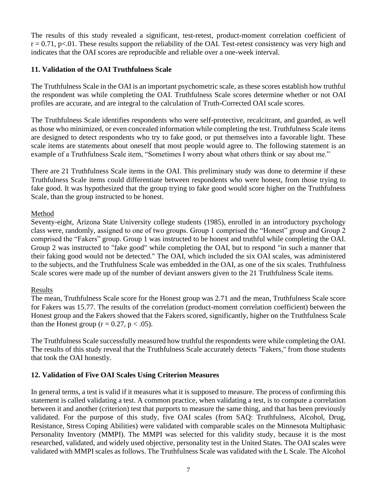The results of this study revealed a significant, test-retest, product-moment correlation coefficient of  $r = 0.71$ , p<.01. These results support the reliability of the OAI. Test-retest consistency was very high and indicates that the OAI scores are reproducible and reliable over a one-week interval.

### **11. Validation of the OAI Truthfulness Scale**

The Truthfulness Scale in the OAI is an important psychometric scale, as these scores establish how truthful the respondent was while completing the OAI. Truthfulness Scale scores determine whether or not OAI profiles are accurate, and are integral to the calculation of Truth-Corrected OAI scale scores.

The Truthfulness Scale identifies respondents who were self-protective, recalcitrant, and guarded, as well as those who minimized, or even concealed information while completing the test. Truthfulness Scale items are designed to detect respondents who try to fake good, or put themselves into a favorable light. These scale items are statements about oneself that most people would agree to. The following statement is an example of a Truthfulness Scale item, "Sometimes I worry about what others think or say about me."

There are 21 Truthfulness Scale items in the OAI. This preliminary study was done to determine if these Truthfulness Scale items could differentiate between respondents who were honest, from those trying to fake good. It was hypothesized that the group trying to fake good would score higher on the Truthfulness Scale, than the group instructed to be honest.

### Method

Seventy-eight, Arizona State University college students (1985), enrolled in an introductory psychology class were, randomly, assigned to one of two groups. Group 1 comprised the "Honest" group and Group 2 comprised the "Fakers" group. Group 1 was instructed to be honest and truthful while completing the OAI. Group 2 was instructed to "fake good" while completing the OAI, but to respond "in such a manner that their faking good would not be detected." The OAI, which included the six OAI scales, was administered to the subjects, and the Truthfulness Scale was embedded in the OAI, as one of the six scales. Truthfulness Scale scores were made up of the number of deviant answers given to the 21 Truthfulness Scale items.

### Results

The mean, Truthfulness Scale score for the Honest group was 2.71 and the mean, Truthfulness Scale score for Fakers was 15.77. The results of the correlation (product-moment correlation coefficient) between the Honest group and the Fakers showed that the Fakers scored, significantly, higher on the Truthfulness Scale than the Honest group ( $r = 0.27$ ,  $p < .05$ ).

The Truthfulness Scale successfully measured how truthful the respondents were while completing the OAI. The results of this study reveal that the Truthfulness Scale accurately detects "Fakers," from those students that took the OAI honestly.

### **12. Validation of Five OAI Scales Using Criterion Measures**

In general terms, a test is valid if it measures what it is supposed to measure. The process of confirming this statement is called validating a test. A common practice, when validating a test, is to compute a correlation between it and another (criterion) test that purports to measure the same thing, and that has been previously validated. For the purpose of this study, five OAI scales (from SAQ: Truthfulness, Alcohol, Drug, Resistance, Stress Coping Abilities) were validated with comparable scales on the Minnesota Multiphasic Personality Inventory (MMPI). The MMPI was selected for this validity study, because it is the most researched, validated, and widely used objective, personality test in the United States. The OAI scales were validated with MMPI scales as follows. The Truthfulness Scale was validated with the L Scale. The Alcohol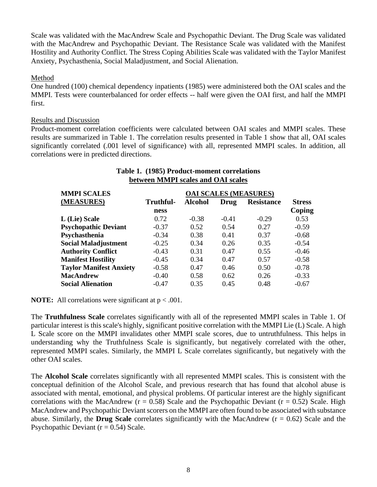Scale was validated with the MacAndrew Scale and Psychopathic Deviant. The Drug Scale was validated with the MacAndrew and Psychopathic Deviant. The Resistance Scale was validated with the Manifest Hostility and Authority Conflict. The Stress Coping Abilities Scale was validated with the Taylor Manifest Anxiety, Psychasthenia, Social Maladjustment, and Social Alienation.

### Method

One hundred (100) chemical dependency inpatients (1985) were administered both the OAI scales and the MMPI. Tests were counterbalanced for order effects -- half were given the OAI first, and half the MMPI first.

### Results and Discussion

Product-moment correlation coefficients were calculated between OAI scales and MMPI scales. These results are summarized in Table 1. The correlation results presented in Table 1 show that all, OAI scales significantly correlated (.001 level of significance) with all, represented MMPI scales. In addition, all correlations were in predicted directions.

**Table 1. (1985) Product-moment correlations**

| Tuble 11 (1906) I Founce moment correntments<br>between MMPI scales and OAI scales |           |                |         |                              |               |  |
|------------------------------------------------------------------------------------|-----------|----------------|---------|------------------------------|---------------|--|
| <b>MMPI SCALES</b>                                                                 |           |                |         | <b>OAI SCALES (MEASURES)</b> |               |  |
| (MEASURES)                                                                         | Truthful- | <b>Alcohol</b> | Drug    | <b>Resistance</b>            | <b>Stress</b> |  |
|                                                                                    | ness      |                |         |                              | Coping        |  |
| L (Lie) Scale                                                                      | 0.72      | $-0.38$        | $-0.41$ | $-0.29$                      | 0.53          |  |
| <b>Psychopathic Deviant</b>                                                        | $-0.37$   | 0.52           | 0.54    | 0.27                         | $-0.59$       |  |
| Psychasthenia                                                                      | $-0.34$   | 0.38           | 0.41    | 0.37                         | $-0.68$       |  |
| <b>Social Maladjustment</b>                                                        | $-0.25$   | 0.34           | 0.26    | 0.35                         | $-0.54$       |  |
| <b>Authority Conflict</b>                                                          | $-0.43$   | 0.31           | 0.47    | 0.55                         | $-0.46$       |  |
| <b>Manifest Hostility</b>                                                          | $-0.45$   | 0.34           | 0.47    | 0.57                         | $-0.58$       |  |
| <b>Taylor Manifest Anxiety</b>                                                     | $-0.58$   | 0.47           | 0.46    | 0.50                         | $-0.78$       |  |
| MacAndrew                                                                          | $-0.40$   | 0.58           | 0.62    | 0.26                         | $-0.33$       |  |
| <b>Social Alienation</b>                                                           | $-0.47$   | 0.35           | 0.45    | 0.48                         | $-0.67$       |  |

**NOTE:** All correlations were significant at  $p < .001$ .

The **Truthfulness Scale** correlates significantly with all of the represented MMPI scales in Table 1. Of particular interest is this scale's highly, significant positive correlation with the MMPI Lie (L) Scale. A high L Scale score on the MMPI invalidates other MMPI scale scores, due to untruthfulness. This helps in understanding why the Truthfulness Scale is significantly, but negatively correlated with the other, represented MMPI scales. Similarly, the MMPI L Scale correlates significantly, but negatively with the other OAI scales.

The **Alcohol Scale** correlates significantly with all represented MMPI scales. This is consistent with the conceptual definition of the Alcohol Scale, and previous research that has found that alcohol abuse is associated with mental, emotional, and physical problems. Of particular interest are the highly significant correlations with the MacAndrew ( $r = 0.58$ ) Scale and the Psychopathic Deviant ( $r = 0.52$ ) Scale. High MacAndrew and Psychopathic Deviant scorers on the MMPI are often found to be associated with substance abuse. Similarly, the **Drug Scale** correlates significantly with the MacAndrew (r = 0.62) Scale and the Psychopathic Deviant ( $r = 0.54$ ) Scale.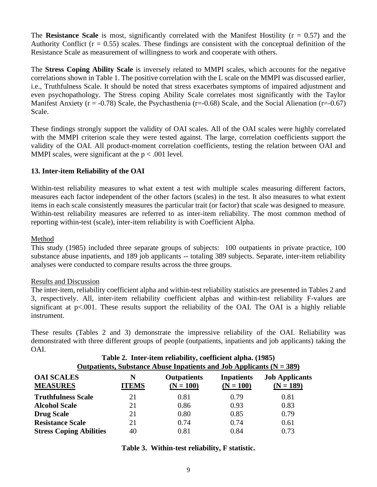The **Resistance Scale** is most, significantly correlated with the Manifest Hostility ( $r = 0.57$ ) and the Authority Conflict  $(r = 0.55)$  scales. These findings are consistent with the conceptual definition of the Resistance Scale as measurement of willingness to work and cooperate with others.

The **Stress Coping Ability Scale** is inversely related to MMPI scales, which accounts for the negative correlations shown in Table 1. The positive correlation with the L scale on the MMPI was discussed earlier, i.e., Truthfulness Scale. It should be noted that stress exacerbates symptoms of impaired adjustment and even psychopathology. The Stress coping Ability Scale correlates most significantly with the Taylor Manifest Anxiety ( $r = -0.78$ ) Scale, the Psychasthenia ( $r = -0.68$ ) Scale, and the Social Alienation ( $r = -0.67$ ) Scale.

These findings strongly support the validity of OAI scales. All of the OAI scales were highly correlated with the MMPI criterion scale they were tested against. The large, correlation coefficients support the validity of the OAI. All product-moment correlation coefficients, testing the relation between OAI and MMPI scales, were significant at the  $p < .001$  level.

### **13. Inter-item Reliability of the OAI**

Within-test reliability measures to what extent a test with multiple scales measuring different factors, measures each factor independent of the other factors (scales) in the test. It also measures to what extent items in each scale consistently measures the particular trait (or factor) that scale was designed to measure. Within-test reliability measures are referred to as inter-item reliability. The most common method of reporting within-test (scale), inter-item reliability is with Coefficient Alpha.

### Method

This study (1985) included three separate groups of subjects: 100 outpatients in private practice, 100 substance abuse inpatients, and 189 job applicants -- totaling 389 subjects. Separate, inter-item reliability analyses were conducted to compare results across the three groups.

### Results and Discussion

The inter-item, reliability coefficient alpha and within-test reliability statistics are presented in Tables 2 and 3, respectively. All, inter-item reliability coefficient alphas and within-test reliability F-values are significant at p<.001. These results support the reliability of the OAI. The OAI is a highly reliable instrument.

These results (Tables 2 and 3) demonstrate the impressive reliability of the OAI. Reliability was demonstrated with three different groups of people (outpatients, inpatients and job applicants) taking the OAI.

### **Table 2. Inter-item reliability, coefficient alpha. (1985) Outpatients, Substance Abuse Inpatients and Job Applicants (N = 389)**

| <b>OAI SCALES</b><br><b>MEASURES</b> | N<br><b>ITEMS</b> | <b>Outpatients</b><br>$(N = 100)$ | <b>Inpatients</b><br>$(N = 100)$ | <b>Job Applicants</b><br>$(N = 189)$ |
|--------------------------------------|-------------------|-----------------------------------|----------------------------------|--------------------------------------|
| <b>Truthfulness Scale</b>            | 21                | 0.81                              | 0.79                             | 0.81                                 |
| <b>Alcohol Scale</b>                 | 21                | 0.86                              | 0.93                             | 0.83                                 |
| <b>Drug Scale</b>                    | 21                | 0.80                              | 0.85                             | 0.79                                 |
| <b>Resistance Scale</b>              | 21                | 0.74                              | 0.74                             | 0.61                                 |
| <b>Stress Coping Abilities</b>       | 40                | 0.81                              | 0.84                             | 0.73                                 |

### **Table 3. Within-test reliability, F statistic.**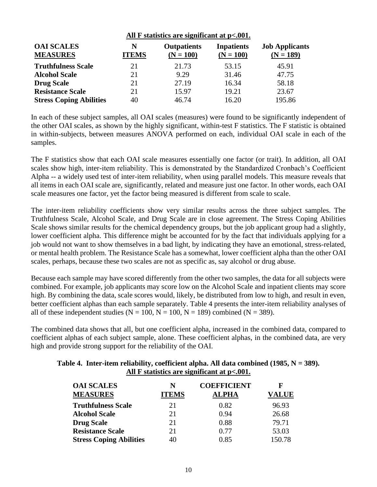|                                      | All $F$ statistics are significant at $p<.001$ . |                                   |                                  |                                      |
|--------------------------------------|--------------------------------------------------|-----------------------------------|----------------------------------|--------------------------------------|
| <b>OAI SCALES</b><br><b>MEASURES</b> | N<br><b>ITEMS</b>                                | <b>Outpatients</b><br>$(N = 100)$ | <b>Inpatients</b><br>$(N = 100)$ | <b>Job Applicants</b><br>$(N = 189)$ |
| <b>Truthfulness Scale</b>            | 21                                               | 21.73                             | 53.15                            | 45.91                                |
| <b>Alcohol Scale</b>                 | 21                                               | 9.29                              | 31.46                            | 47.75                                |
| <b>Drug Scale</b>                    | 21                                               | 27.19                             | 16.34                            | 58.18                                |
| <b>Resistance Scale</b>              | 21                                               | 15.97                             | 19.21                            | 23.67                                |
| <b>Stress Coping Abilities</b>       | 40                                               | 46.74                             | 16.20                            | 195.86                               |

In each of these subject samples, all OAI scales (measures) were found to be significantly independent of the other OAI scales, as shown by the highly significant, within-test F statistics. The F statistic is obtained in within-subjects, between measures ANOVA performed on each, individual OAI scale in each of the samples.

The F statistics show that each OAI scale measures essentially one factor (or trait). In addition, all OAI scales show high, inter-item reliability. This is demonstrated by the Standardized Cronbach's Coefficient Alpha -- a widely used test of inter-item reliability, when using parallel models. This measure reveals that all items in each OAI scale are, significantly, related and measure just one factor. In other words, each OAI scale measures one factor, yet the factor being measured is different from scale to scale.

The inter-item reliability coefficients show very similar results across the three subject samples. The Truthfulness Scale, Alcohol Scale, and Drug Scale are in close agreement. The Stress Coping Abilities Scale shows similar results for the chemical dependency groups, but the job applicant group had a slightly, lower coefficient alpha. This difference might be accounted for by the fact that individuals applying for a job would not want to show themselves in a bad light, by indicating they have an emotional, stress-related, or mental health problem. The Resistance Scale has a somewhat, lower coefficient alpha than the other OAI scales, perhaps, because these two scales are not as specific as, say alcohol or drug abuse.

Because each sample may have scored differently from the other two samples, the data for all subjects were combined. For example, job applicants may score low on the Alcohol Scale and inpatient clients may score high. By combining the data, scale scores would, likely, be distributed from low to high, and result in even, better coefficient alphas than each sample separately. Table 4 presents the inter-item reliability analyses of all of these independent studies ( $N = 100$ ,  $N = 100$ ,  $N = 189$ ) combined ( $N = 389$ ).

The combined data shows that all, but one coefficient alpha, increased in the combined data, compared to coefficient alphas of each subject sample, alone. These coefficient alphas, in the combined data, are very high and provide strong support for the reliability of the OAI.

| 10 de 4. Thief-hein Fenadhity, coemicient alpha. An uata combineu (1985, i $\mathbf{v} = 3$<br>All $F$ statistics are significant at $p<.001$ . |                   |                                    |                   |  |  |
|-------------------------------------------------------------------------------------------------------------------------------------------------|-------------------|------------------------------------|-------------------|--|--|
| <b>OAI SCALES</b><br><b>MEASURES</b>                                                                                                            | N<br><b>ITEMS</b> | <b>COEFFICIENT</b><br><b>ALPHA</b> | F<br><b>VALUE</b> |  |  |
| <b>Truthfulness Scale</b>                                                                                                                       | 21                | 0.82                               | 96.93             |  |  |
| <b>Alcohol Scale</b>                                                                                                                            | 21                | 0.94                               | 26.68             |  |  |
| <b>Drug Scale</b>                                                                                                                               | 21                | 0.88                               | 79.71             |  |  |
| <b>Resistance Scale</b>                                                                                                                         | 21                | 0.77                               | 53.03             |  |  |
| <b>Stress Coping Abilities</b>                                                                                                                  | 40                | 0.85                               | 150.78            |  |  |

# **Table 4. Inter-item reliability, coefficient alpha. All data combined (1985, N = 389).**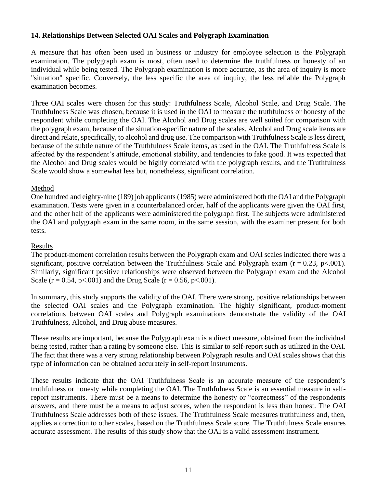### **14. Relationships Between Selected OAI Scales and Polygraph Examination**

A measure that has often been used in business or industry for employee selection is the Polygraph examination. The polygraph exam is most, often used to determine the truthfulness or honesty of an individual while being tested. The Polygraph examination is more accurate, as the area of inquiry is more "situation" specific. Conversely, the less specific the area of inquiry, the less reliable the Polygraph examination becomes.

Three OAI scales were chosen for this study: Truthfulness Scale, Alcohol Scale, and Drug Scale. The Truthfulness Scale was chosen, because it is used in the OAI to measure the truthfulness or honesty of the respondent while completing the OAI. The Alcohol and Drug scales are well suited for comparison with the polygraph exam, because of the situation-specific nature of the scales. Alcohol and Drug scale items are direct and relate, specifically, to alcohol and drug use. The comparison with Truthfulness Scale is less direct, because of the subtle nature of the Truthfulness Scale items, as used in the OAI. The Truthfulness Scale is affected by the respondent's attitude, emotional stability, and tendencies to fake good. It was expected that the Alcohol and Drug scales would be highly correlated with the polygraph results, and the Truthfulness Scale would show a somewhat less but, nonetheless, significant correlation.

### Method

One hundred and eighty-nine (189) job applicants (1985) were administered both the OAI and the Polygraph examination. Tests were given in a counterbalanced order, half of the applicants were given the OAI first, and the other half of the applicants were administered the polygraph first. The subjects were administered the OAI and polygraph exam in the same room, in the same session, with the examiner present for both tests.

### Results

The product-moment correlation results between the Polygraph exam and OAI scales indicated there was a significant, positive correlation between the Truthfulness Scale and Polygraph exam ( $r = 0.23$ ,  $p < .001$ ). Similarly, significant positive relationships were observed between the Polygraph exam and the Alcohol Scale ( $r = 0.54$ ,  $p < .001$ ) and the Drug Scale ( $r = 0.56$ ,  $p < .001$ ).

In summary, this study supports the validity of the OAI. There were strong, positive relationships between the selected OAI scales and the Polygraph examination. The highly significant, product-moment correlations between OAI scales and Polygraph examinations demonstrate the validity of the OAI Truthfulness, Alcohol, and Drug abuse measures.

These results are important, because the Polygraph exam is a direct measure, obtained from the individual being tested, rather than a rating by someone else. This is similar to self-report such as utilized in the OAI. The fact that there was a very strong relationship between Polygraph results and OAI scales shows that this type of information can be obtained accurately in self-report instruments.

These results indicate that the OAI Truthfulness Scale is an accurate measure of the respondent's truthfulness or honesty while completing the OAI. The Truthfulness Scale is an essential measure in selfreport instruments. There must be a means to determine the honesty or "correctness" of the respondents answers, and there must be a means to adjust scores, when the respondent is less than honest. The OAI Truthfulness Scale addresses both of these issues. The Truthfulness Scale measures truthfulness and, then, applies a correction to other scales, based on the Truthfulness Scale score. The Truthfulness Scale ensures accurate assessment. The results of this study show that the OAI is a valid assessment instrument.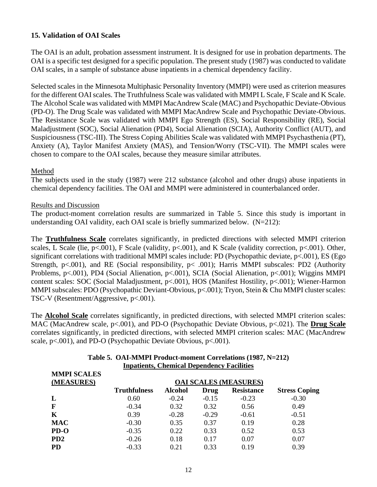### **15. Validation of OAI Scales**

The OAI is an adult, probation assessment instrument. It is designed for use in probation departments. The OAI is a specific test designed for a specific population. The present study (1987) was conducted to validate OAI scales, in a sample of substance abuse inpatients in a chemical dependency facility.

Selected scales in the Minnesota Multiphasic Personality Inventory (MMPI) were used as criterion measures for the different OAI scales. The Truthfulness Scale was validated with MMPI L Scale, F Scale and K Scale. The Alcohol Scale was validated with MMPI MacAndrew Scale (MAC) and Psychopathic Deviate-Obvious (PD-O). The Drug Scale was validated with MMPI MacAndrew Scale and Psychopathic Deviate-Obvious. The Resistance Scale was validated with MMPI Ego Strength (ES), Social Responsibility (RE), Social Maladjustment (SOC), Social Alienation (PD4), Social Alienation (SCIA), Authority Conflict (AUT), and Suspiciousness (TSC-III). The Stress Coping Abilities Scale was validated with MMPI Psychasthenia (PT), Anxiety (A), Taylor Manifest Anxiety (MAS), and Tension/Worry (TSC-VII). The MMPI scales were chosen to compare to the OAI scales, because they measure similar attributes.

### Method

The subjects used in the study (1987) were 212 substance (alcohol and other drugs) abuse inpatients in chemical dependency facilities. The OAI and MMPI were administered in counterbalanced order.

### Results and Discussion

The product-moment correlation results are summarized in Table 5. Since this study is important in understanding OAI validity, each OAI scale is briefly summarized below.  $(N=212)$ :

The **Truthfulness Scale** correlates significantly, in predicted directions with selected MMPI criterion scales, L Scale (lie,  $p<.001$ ), F Scale (validity,  $p<.001$ ), and K Scale (validity correction,  $p<.001$ ). Other, significant correlations with traditional MMPI scales include: PD (Psychopathic deviate, p<.001), ES (Ego Strength, p<.001), and RE (Social responsibility, p< .001); Harris MMPI subscales: PD2 (Authority Problems, p<.001), PD4 (Social Alienation, p<.001), SCIA (Social Alienation, p<.001); Wiggins MMPI content scales: SOC (Social Maladjustment, p<.001), HOS (Manifest Hostility, p<.001); Wiener-Harmon MMPI subscales: PDO (Psychopathic Deviant-Obvious, p<.001); Tryon, Stein & Chu MMPI cluster scales: TSC-V (Resentment/Aggressive, p<.001).

The **Alcohol Scale** correlates significantly, in predicted directions, with selected MMPI criterion scales: MAC (MacAndrew scale, p<.001), and PD-O (Psychopathic Deviate Obvious, p<.021). The **Drug Scale** correlates significantly, in predicted directions, with selected MMPI criterion scales: MAC (MacAndrew scale, p<.001), and PD-O (Psychopathic Deviate Obvious, p<.001).

| Inpatients, Chemical Dependency Facilities |                              |                |         |                   |                      |  |
|--------------------------------------------|------------------------------|----------------|---------|-------------------|----------------------|--|
| <b>MMPI SCALES</b><br>(MEASURES)           | <b>OAI SCALES (MEASURES)</b> |                |         |                   |                      |  |
|                                            | <b>Truthfulness</b>          | <b>Alcohol</b> | Drug    | <b>Resistance</b> | <b>Stress Coping</b> |  |
| L                                          | 0.60                         | $-0.24$        | $-0.15$ | $-0.23$           | $-0.30$              |  |
| F                                          | $-0.34$                      | 0.32           | 0.32    | 0.56              | 0.49                 |  |
| K                                          | 0.39                         | $-0.28$        | $-0.29$ | $-0.61$           | $-0.51$              |  |
| <b>MAC</b>                                 | $-0.30$                      | 0.35           | 0.37    | 0.19              | 0.28                 |  |
| $PD-O$                                     | $-0.35$                      | 0.22           | 0.33    | 0.52              | 0.53                 |  |
| PD <sub>2</sub>                            | $-0.26$                      | 0.18           | 0.17    | 0.07              | 0.07                 |  |
| <b>PD</b>                                  | $-0.33$                      | 0.21           | 0.33    | 0.19              | 0.39                 |  |

### **Table 5. OAI-MMPI Product-moment Correlations (1987, N=212) Inpatients, Chemical Dependency Facilities**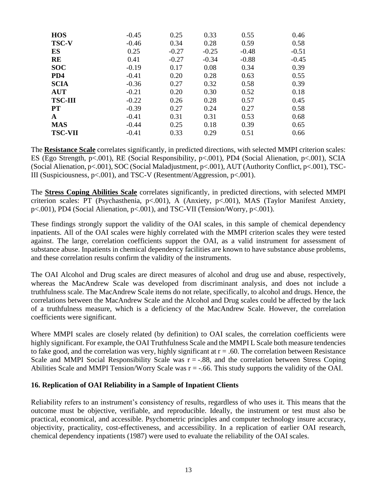| <b>HOS</b>     | $-0.45$ | 0.25    | 0.33    | 0.55    | 0.46    |
|----------------|---------|---------|---------|---------|---------|
| <b>TSC-V</b>   | $-0.46$ | 0.34    | 0.28    | 0.59    | 0.58    |
| ES             | 0.25    | $-0.27$ | $-0.25$ | $-0.48$ | $-0.51$ |
| RE             | 0.41    | $-0.27$ | $-0.34$ | $-0.88$ | $-0.45$ |
| <b>SOC</b>     | $-0.19$ | 0.17    | 0.08    | 0.34    | 0.39    |
| PD4            | $-0.41$ | 0.20    | 0.28    | 0.63    | 0.55    |
| <b>SCIA</b>    | $-0.36$ | 0.27    | 0.32    | 0.58    | 0.39    |
| <b>AUT</b>     | $-0.21$ | 0.20    | 0.30    | 0.52    | 0.18    |
| <b>TSC-III</b> | $-0.22$ | 0.26    | 0.28    | 0.57    | 0.45    |
| <b>PT</b>      | $-0.39$ | 0.27    | 0.24    | 0.27    | 0.58    |
| $\mathbf{A}$   | $-0.41$ | 0.31    | 0.31    | 0.53    | 0.68    |
| <b>MAS</b>     | $-0.44$ | 0.25    | 0.18    | 0.39    | 0.65    |
| <b>TSC-VII</b> | $-0.41$ | 0.33    | 0.29    | 0.51    | 0.66    |

The **Resistance Scale** correlates significantly, in predicted directions, with selected MMPI criterion scales: ES (Ego Strength, p<.001), RE (Social Responsibility, p<.001), PD4 (Social Alienation, p<.001), SCIA (Social Alienation, p<.001), SOC (Social Maladjustment, p<.001), AUT (Authority Conflict, p<.001), TSC-III (Suspiciousness, p<.001), and TSC-V (Resentment/Aggression, p<.001).

The **Stress Coping Abilities Scale** correlates significantly, in predicted directions, with selected MMPI criterion scales: PT (Psychasthenia, p<.001), A (Anxiety, p<.001), MAS (Taylor Manifest Anxiety, p<.001), PD4 (Social Alienation, p<.001), and TSC-VII (Tension/Worry, p<.001).

These findings strongly support the validity of the OAI scales, in this sample of chemical dependency inpatients. All of the OAI scales were highly correlated with the MMPI criterion scales they were tested against. The large, correlation coefficients support the OAI, as a valid instrument for assessment of substance abuse. Inpatients in chemical dependency facilities are known to have substance abuse problems, and these correlation results confirm the validity of the instruments.

The OAI Alcohol and Drug scales are direct measures of alcohol and drug use and abuse, respectively, whereas the MacAndrew Scale was developed from discriminant analysis, and does not include a truthfulness scale. The MacAndrew Scale items do not relate, specifically, to alcohol and drugs. Hence, the correlations between the MacAndrew Scale and the Alcohol and Drug scales could be affected by the lack of a truthfulness measure, which is a deficiency of the MacAndrew Scale. However, the correlation coefficients were significant.

Where MMPI scales are closely related (by definition) to OAI scales, the correlation coefficients were highly significant. For example, the OAI Truthfulness Scale and the MMPI L Scale both measure tendencies to fake good, and the correlation was very, highly significant at  $r = .60$ . The correlation between Resistance Scale and MMPI Social Responsibility Scale was  $r = -0.88$ , and the correlation between Stress Coping Abilities Scale and MMPI Tension/Worry Scale was  $r = -.66$ . This study supports the validity of the OAI.

### **16. Replication of OAI Reliability in a Sample of Inpatient Clients**

Reliability refers to an instrument's consistency of results, regardless of who uses it. This means that the outcome must be objective, verifiable, and reproducible. Ideally, the instrument or test must also be practical, economical, and accessible. Psychometric principles and computer technology insure accuracy, objectivity, practicality, cost-effectiveness, and accessibility. In a replication of earlier OAI research, chemical dependency inpatients (1987) were used to evaluate the reliability of the OAI scales.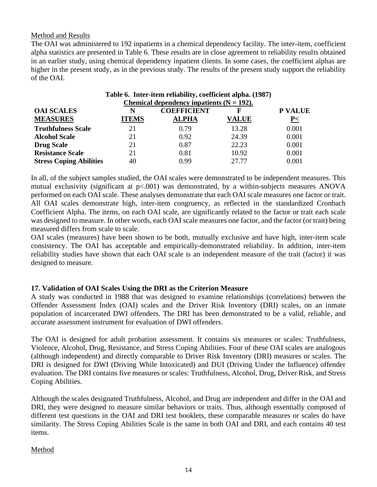### Method and Results

The OAI was administered to 192 inpatients in a chemical dependency facility. The inter-item, coefficient alpha statistics are presented in Table 6. These results are in close agreement to reliability results obtained in an earlier study, using chemical dependency inpatient clients. In some cases, the coefficient alphas are higher in the present study, as in the previous study. The results of the present study support the reliability of the OAI.

| Table 6. Inter-item reliability, coefficient alpha. (1987) |              |                    |              |                 |  |  |
|------------------------------------------------------------|--------------|--------------------|--------------|-----------------|--|--|
| Chemical dependency inpatients $(N = 192)$ .               |              |                    |              |                 |  |  |
| <b>OAI SCALES</b>                                          | N            | <b>COEFFICIENT</b> | F            | <b>P VALUE</b>  |  |  |
| <b>MEASURES</b>                                            | <b>ITEMS</b> | <b>ALPHA</b>       | <b>VALUE</b> | $\underline{P}$ |  |  |
| <b>Truthfulness Scale</b>                                  | 21           | 0.79               | 13.28        | 0.001           |  |  |
| <b>Alcohol Scale</b>                                       | 21           | 0.92               | 24.39        | 0.001           |  |  |
| <b>Drug Scale</b>                                          | 21           | 0.87               | 22.23        | 0.001           |  |  |
| <b>Resistance Scale</b>                                    | 21           | 0.81               | 10.92        | 0.001           |  |  |
| <b>Stress Coping Abilities</b>                             | 40           | 0.99               | 27.77        | 0.001           |  |  |

In all, of the subject samples studied, the OAI scales were demonstrated to be independent measures. This mutual exclusivity (significant at  $p<.001$ ) was demonstrated, by a within-subjects measures ANOVA performed on each OAI scale. These analyses demonstrate that each OAI scale measures one factor or trait. All OAI scales demonstrate high, inter-item congruency, as reflected in the standardized Cronbach Coefficient Alpha. The items, on each OAI scale, are significantly related to the factor or trait each scale was designed to measure. In other words, each OAI scale measures one factor, and the factor (or trait) being measured differs from scale to scale.

OAI scales (measures) have been shown to be both, mutually exclusive and have high, inter-item scale consistency. The OAI has acceptable and empirically-demonstrated reliability. In addition, inter-item reliability studies have shown that each OAI scale is an independent measure of the trait (factor) it was designed to measure.

### **17. Validation of OAI Scales Using the DRI as the Criterion Measure**

A study was conducted in 1988 that was designed to examine relationships (correlations) between the Offender Assessment Index (OAI) scales and the Driver Risk Inventory (DRI) scales, on an inmate population of incarcerated DWI offenders. The DRI has been demonstrated to be a valid, reliable, and accurate assessment instrument for evaluation of DWI offenders.

The OAI is designed for adult probation assessment. It contains six measures or scales: Truthfulness, Violence, Alcohol, Drug, Resistance, and Stress Coping Abilities. Four of these OAI scales are analogous (although independent) and directly comparable to Driver Risk Inventory (DRI) measures or scales. The DRI is designed for DWI (Driving While Intoxicated) and DUI (Driving Under the Influence) offender evaluation. The DRI contains five measures or scales: Truthfulness, Alcohol, Drug, Driver Risk, and Stress Coping Abilities.

Although the scales designated Truthfulness, Alcohol, and Drug are independent and differ in the OAI and DRI, they were designed to measure similar behaviors or traits. Thus, although essentially composed of different test questions in the OAI and DRI test booklets, these comparable measures or scales do have similarity. The Stress Coping Abilities Scale is the same in both OAI and DRI, and each contains 40 test items.

### Method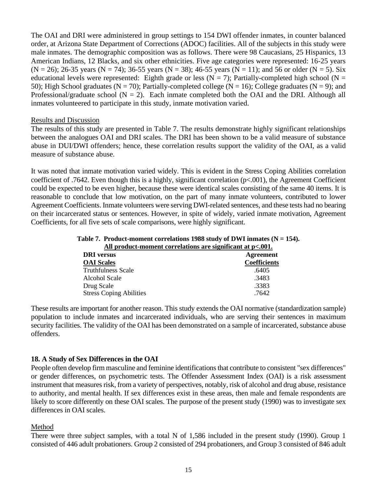The OAI and DRI were administered in group settings to 154 DWI offender inmates, in counter balanced order, at Arizona State Department of Corrections (ADOC) facilities. All of the subjects in this study were male inmates. The demographic composition was as follows. There were 98 Caucasians, 25 Hispanics, 13 American Indians, 12 Blacks, and six other ethnicities. Five age categories were represented: 16-25 years  $(N = 26)$ ; 26-35 years  $(N = 74)$ ; 36-55 years  $(N = 38)$ ; 46-55 years  $(N = 11)$ ; and 56 or older  $(N = 5)$ . Six educational levels were represented: Eighth grade or less ( $N = 7$ ); Partially-completed high school ( $N =$ 50); High School graduates (N = 70); Partially-completed college (N = 16); College graduates (N = 9); and Professional/graduate school  $(N = 2)$ . Each inmate completed both the OAI and the DRI. Although all inmates volunteered to participate in this study, inmate motivation varied.

### Results and Discussion

The results of this study are presented in Table 7. The results demonstrate highly significant relationships between the analogues OAI and DRI scales. The DRI has been shown to be a valid measure of substance abuse in DUI/DWI offenders; hence, these correlation results support the validity of the OAI, as a valid measure of substance abuse.

It was noted that inmate motivation varied widely. This is evident in the Stress Coping Abilities correlation coefficient of .7642. Even though this is a highly, significant correlation (p<.001), the Agreement Coefficient could be expected to be even higher, because these were identical scales consisting of the same 40 items. It is reasonable to conclude that low motivation, on the part of many inmate volunteers, contributed to lower Agreement Coefficients. Inmate volunteers were serving DWI-related sentences, and these tests had no bearing on their incarcerated status or sentences. However, in spite of widely, varied inmate motivation, Agreement Coefficients, for all five sets of scale comparisons, were highly significant.

| All product-moment correlations are significant at p<.001. |              |  |  |
|------------------------------------------------------------|--------------|--|--|
| <b>DRI</b> versus                                          | Agreement    |  |  |
| <b>OAI</b> Scales                                          | Coefficients |  |  |
| <b>Truthfulness Scale</b>                                  | .6405        |  |  |
| Alcohol Scale                                              | .3483        |  |  |
| Drug Scale                                                 | .3383        |  |  |
| <b>Stress Coping Abilities</b>                             | .7642        |  |  |

### Table 7. Product-moment correlations 1988 study of DWI inmates (N = 154). **All product-moment correlations are significant at p<.001.**

These results are important for another reason. This study extends the OAI normative (standardization sample) population to include inmates and incarcerated individuals, who are serving their sentences in maximum security facilities. The validity of the OAI has been demonstrated on a sample of incarcerated, substance abuse offenders.

### **18. A Study of Sex Differences in the OAI**

People often develop firm masculine and feminine identifications that contribute to consistent "sex differences" or gender differences, on psychometric tests. The Offender Assessment Index (OAI) is a risk assessment instrument that measures risk, from a variety of perspectives, notably, risk of alcohol and drug abuse, resistance to authority, and mental health. If sex differences exist in these areas, then male and female respondents are likely to score differently on these OAI scales. The purpose of the present study (1990) was to investigate sex differences in OAI scales.

### Method

There were three subject samples, with a total N of 1,586 included in the present study (1990). Group 1 consisted of 446 adult probationers. Group 2 consisted of 294 probationers, and Group 3 consisted of 846 adult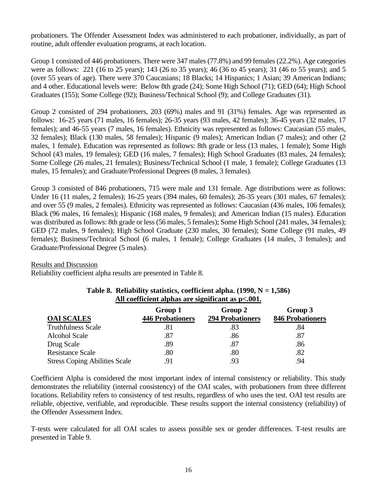probationers. The Offender Assessment Index was administered to each probationer, individually, as part of routine, adult offender evaluation programs, at each location.

Group 1 consisted of 446 probationers. There were 347 males (77.8%) and 99 females (22.2%). Age categories were as follows: 221 (16 to 25 years); 143 (26 to 35 years); 46 (36 to 45 years); 31 (46 to 55 years); and 5 (over 55 years of age). There were 370 Caucasians; 18 Blacks; 14 Hispanics; 1 Asian; 39 American Indians; and 4 other. Educational levels were: Below 8th grade (24); Some High School (71); GED (64); High School Graduates (155); Some College (92); Business/Technical School (9); and College Graduates (31).

Group 2 consisted of 294 probationers, 203 (69%) males and 91 (31%) females. Age was represented as follows: 16-25 years (71 males, 16 females); 26-35 years (93 males, 42 females); 36-45 years (32 males, 17 females); and 46-55 years (7 males, 16 females). Ethnicity was represented as follows: Caucasian (55 males, 32 females); Black (130 males, 58 females); Hispanic (9 males); American Indian (7 males); and other (2 males, 1 female). Education was represented as follows: 8th grade or less (13 males, 1 female); Some High School (43 males, 19 females); GED (16 males, 7 females); High School Graduates (83 males, 24 females); Some College (26 males, 21 females); Business/Technical School (1 male, 1 female); College Graduates (13 males, 15 females); and Graduate/Professional Degrees (8 males, 3 females).

Group 3 consisted of 846 probationers, 715 were male and 131 female. Age distributions were as follows: Under 16 (11 males, 2 females); 16-25 years (394 males, 60 females); 26-35 years (301 males, 67 females); and over 55 (9 males, 2 females). Ethnicity was represented as follows: Caucasian (436 males, 106 females); Black (96 males, 16 females); Hispanic (168 males, 9 females); and American Indian (15 males). Education was distributed as follows: 8th grade or less (56 males, 5 females); Some High School (241 males, 34 females); GED (72 males, 9 females); High School Graduate (230 males, 30 females); Some College (91 males, 49 females); Business/Technical School (6 males, 1 female); College Graduates (14 males, 3 females); and Graduate/Professional Degree (5 males).

### Results and Discussion

Reliability coefficient alpha results are presented in Table 8.

|                                      | Group 1                 | Group 2                 | Group 3                 |
|--------------------------------------|-------------------------|-------------------------|-------------------------|
| <b>OAI SCALES</b>                    | <b>446 Probationers</b> | <b>294 Probationers</b> | <b>846 Probationers</b> |
| <b>Truthfulness Scale</b>            | .81                     | .83                     | .84                     |
| <b>Alcohol Scale</b>                 | .87                     | .86                     | .87                     |
| Drug Scale                           | .89                     | .87                     | .86                     |
| <b>Resistance Scale</b>              | .80                     | .80                     | .82                     |
| <b>Stress Coping Abilities Scale</b> | .91                     | .93                     | .94                     |

### **Table 8. Reliability statistics, coefficient alpha. (1990, N = 1,586) All coefficient alphas are significant as p<.001.**

Coefficient Alpha is considered the most important index of internal consistency or reliability. This study demonstrates the reliability (internal consistency) of the OAI scales, with probationers from three different locations. Reliability refers to consistency of test results, regardless of who uses the test. OAI test results are reliable, objective, verifiable, and reproducible. These results support the internal consistency (reliability) of the Offender Assessment Index.

T-tests were calculated for all OAI scales to assess possible sex or gender differences. T-test results are presented in Table 9.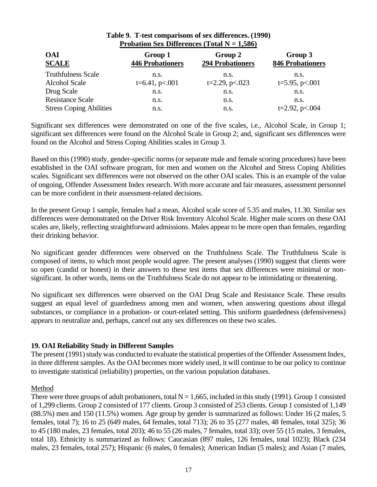| Probation Sex Differences (10tal $N = 1,380$ ) |                                    |                                    |                                    |  |  |
|------------------------------------------------|------------------------------------|------------------------------------|------------------------------------|--|--|
| <b>OAI</b><br><b>SCALE</b>                     | Group 1<br><b>446 Probationers</b> | Group 2<br><b>294 Probationers</b> | Group 3<br><b>846 Probationers</b> |  |  |
| <b>Truthfulness Scale</b>                      | n.s.                               | n.s.                               | n.s.                               |  |  |
| <b>Alcohol Scale</b>                           | $t=6.41, p<.001$                   | $t=2.29$ , p $< 0.023$             | $t=5.95$ , p $< 0.01$              |  |  |
| Drug Scale                                     | n.s.                               | n.s.                               | n.s.                               |  |  |
| <b>Resistance Scale</b>                        | n.s.                               | n.s.                               | n.s.                               |  |  |
| <b>Stress Coping Abilities</b>                 | n.s.                               | n.s.                               | $t=2.92$ , p<.004                  |  |  |

### **Table 9. T-test comparisons of sex differences. (1990)**  $**S**<sub>ox</sub>$  $**Diffonness**$  **(Total**  $**N** = 1,586$ **)**

Significant sex differences were demonstrated on one of the five scales, i.e., Alcohol Scale, in Group 1; significant sex differences were found on the Alcohol Scale in Group 2; and, significant sex differences were found on the Alcohol and Stress Coping Abilities scales in Group 3.

Based on this (1990) study, gender-specific norms (or separate male and female scoring procedures) have been established in the OAI software program, for men and women on the Alcohol and Stress Coping Abilities scales. Significant sex differences were not observed on the other OAI scales. This is an example of the value of ongoing, Offender Assessment Index research. With more accurate and fair measures, assessment personnel can be more confident in their assessment-related decisions.

In the present Group 1 sample, females had a mean, Alcohol scale score of 5.35 and males, 11.30. Similar sex differences were demonstrated on the Driver Risk Inventory Alcohol Scale. Higher male scores on these OAI scales are, likely, reflecting straightforward admissions. Males appear to be more open than females, regarding their drinking behavior.

No significant gender differences were observed on the Truthfulness Scale. The Truthfulness Scale is composed of items, to which most people would agree. The present analyses (1990) suggest that clients were so open (candid or honest) in their answers to these test items that sex differences were minimal or nonsignificant. In other words, items on the Truthfulness Scale do not appear to be intimidating or threatening.

No significant sex differences were observed on the OAI Drug Scale and Resistance Scale. These results suggest an equal level of guardedness among men and women, when answering questions about illegal substances, or compliance in a probation- or court-related setting. This uniform guardedness (defensiveness) appears to neutralize and, perhaps, cancel out any sex differences on these two scales.

### **19. OAI Reliability Study in Different Samples**

The present (1991) study was conducted to evaluate the statistical properties of the Offender Assessment Index, in three different samples. As the OAI becomes more widely used, it will continue to be our policy to continue to investigate statistical (reliability) properties, on the various population databases.

### Method

There were three groups of adult probationers, total  $N = 1,665$ , included in this study (1991). Group 1 consisted of 1,299 clients. Group 2 consisted of 177 clients. Group 3 consisted of 253 clients. Group 1 consisted of 1,149 (88.5%) men and 150 (11.5%) women. Age group by gender is summarized as follows: Under 16 (2 males, 5 females, total 7); 16 to 25 (649 males, 64 females, total 713); 26 to 35 (277 males, 48 females, total 325); 36 to 45 (180 males, 23 females, total 203); 46 to 55 (26 males, 7 females, total 33); over 55 (15 males, 3 females, total 18). Ethnicity is summarized as follows: Caucasian (897 males, 126 females, total 1023); Black (234 males, 23 females, total 257); Hispanic (6 males, 0 females); American Indian (5 males); and Asian (7 males,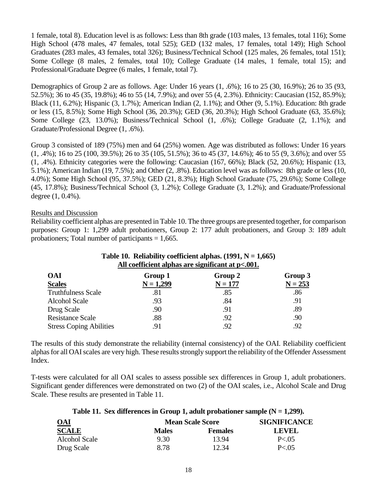1 female, total 8). Education level is as follows: Less than 8th grade (103 males, 13 females, total 116); Some High School (478 males, 47 females, total 525); GED (132 males, 17 females, total 149); High School Graduates (283 males, 43 females, total 326); Business/Technical School (125 males, 26 females, total 151); Some College (8 males, 2 females, total 10); College Graduate (14 males, 1 female, total 15); and Professional/Graduate Degree (6 males, 1 female, total 7).

Demographics of Group 2 are as follows. Age: Under 16 years (1, .6%); 16 to 25 (30, 16.9%); 26 to 35 (93, 52.5%); 36 to 45 (35, 19.8%); 46 to 55 (14, 7.9%); and over 55 (4, 2.3%). Ethnicity: Caucasian (152, 85.9%); Black (11, 6.2%); Hispanic (3, 1.7%); American Indian (2, 1.1%); and Other (9, 5.1%). Education: 8th grade or less (15, 8.5%); Some High School (36, 20.3%); GED (36, 20.3%); High School Graduate (63, 35.6%); Some College (23, 13.0%); Business/Technical School (1, .6%); College Graduate (2, 1.1%); and Graduate/Professional Degree (1, .6%).

Group 3 consisted of 189 (75%) men and 64 (25%) women. Age was distributed as follows: Under 16 years (1, .4%); 16 to 25 (100, 39.5%); 26 to 35 (105, 51.5%); 36 to 45 (37, 14.6%); 46 to 55 (9, 3.6%); and over 55 (1, .4%). Ethnicity categories were the following: Caucasian (167, 66%); Black (52, 20.6%); Hispanic (13, 5.1%); American Indian (19, 7.5%); and Other (2, .8%). Education level was as follows: 8th grade or less (10, 4.0%); Some High School (95, 37.5%); GED (21, 8.3%); High School Graduate (75, 29.6%); Some College (45, 17.8%); Business/Technical School (3, 1.2%); College Graduate (3, 1.2%); and Graduate/Professional degree (1, 0.4%).

### Results and Discussion

Reliability coefficient alphas are presented in Table 10. The three groups are presented together, for comparison purposes: Group 1: 1,299 adult probationers, Group 2: 177 adult probationers, and Group 3: 189 adult probationers; Total number of participants  $= 1,665$ .

| Table TV. Reliability coefficient alphas. $(1991, N = 1,005)$<br>All coefficient alphas are significant at p<.001. |             |           |           |  |  |
|--------------------------------------------------------------------------------------------------------------------|-------------|-----------|-----------|--|--|
| <b>OAI</b>                                                                                                         | Group 1     | Group 2   | Group 3   |  |  |
| <b>Scales</b>                                                                                                      | $N = 1,299$ | $N = 177$ | $N = 253$ |  |  |
| <b>Truthfulness Scale</b>                                                                                          | .81         | .85       | .86       |  |  |
| <b>Alcohol Scale</b>                                                                                               | .93         | .84       | .91       |  |  |
| Drug Scale                                                                                                         | .90         | .91       | .89       |  |  |
| <b>Resistance Scale</b>                                                                                            | .88         | .92       | .90       |  |  |
| <b>Stress Coping Abilities</b>                                                                                     | .91         | .92       | .92       |  |  |

## **Table 10. Reliability coefficient alphas. (1991, N = 1,665)**

The results of this study demonstrate the reliability (internal consistency) of the OAI. Reliability coefficient alphas for all OAI scales are very high. These results strongly support the reliability of the Offender Assessment Index.

T-tests were calculated for all OAI scales to assess possible sex differences in Group 1, adult probationers. Significant gender differences were demonstrated on two (2) of the OAI scales, i.e., Alcohol Scale and Drug Scale. These results are presented in Table 11.

### **Table 11. Sex differences in Group 1, adult probationer sample (N = 1,299).**

| <b>OAI</b>           | <b>Mean Scale Score</b> | <b>SIGNIFICANCE</b> |          |
|----------------------|-------------------------|---------------------|----------|
| <b>SCALE</b>         | <b>Males</b>            | <b>Females</b>      | LEVEL.   |
| <b>Alcohol Scale</b> | 9.30                    | 13.94               | P < 0.05 |
| Drug Scale           | 8.78                    | 12.34               | P < 05   |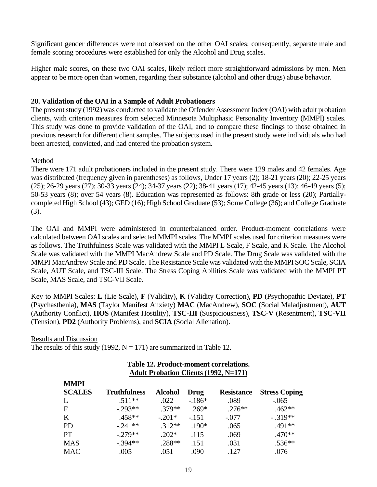Significant gender differences were not observed on the other OAI scales; consequently, separate male and female scoring procedures were established for only the Alcohol and Drug scales.

Higher male scores, on these two OAI scales, likely reflect more straightforward admissions by men. Men appear to be more open than women, regarding their substance (alcohol and other drugs) abuse behavior.

### **20. Validation of the OAI in a Sample of Adult Probationers**

The present study (1992) was conducted to validate the Offender Assessment Index (OAI) with adult probation clients, with criterion measures from selected Minnesota Multiphasic Personality Inventory (MMPI) scales. This study was done to provide validation of the OAI, and to compare these findings to those obtained in previous research for different client samples. The subjects used in the present study were individuals who had been arrested, convicted, and had entered the probation system.

### Method

There were 171 adult probationers included in the present study. There were 129 males and 42 females. Age was distributed (frequency given in parentheses) as follows, Under 17 years (2); 18-21 years (20); 22-25 years (25); 26-29 years (27); 30-33 years (24); 34-37 years (22); 38-41 years (17); 42-45 years (13); 46-49 years (5); 50-53 years (8); over 54 years (8). Education was represented as follows: 8th grade or less (20); Partiallycompleted High School (43); GED (16); High School Graduate (53); Some College (36); and College Graduate (3).

The OAI and MMPI were administered in counterbalanced order. Product-moment correlations were calculated between OAI scales and selected MMPI scales. The MMPI scales used for criterion measures were as follows. The Truthfulness Scale was validated with the MMPI L Scale, F Scale, and K Scale. The Alcohol Scale was validated with the MMPI MacAndrew Scale and PD Scale. The Drug Scale was validated with the MMPI MacAndrew Scale and PD Scale. The Resistance Scale was validated with the MMPI SOC Scale, SCIA Scale, AUT Scale, and TSC-III Scale. The Stress Coping Abilities Scale was validated with the MMPI PT Scale, MAS Scale, and TSC-VII Scale.

Key to MMPI Scales: **L** (Lie Scale), **F** (Validity), **K** (Validity Correction), **PD** (Psychopathic Deviate), **PT** (Psychasthenia), **MAS** (Taylor Manifest Anxiety) **MAC** (MacAndrew), **SOC** (Social Maladjustment), **AUT** (Authority Conflict), **HOS** (Manifest Hostility), **TSC-III** (Suspiciousness), **TSC-V** (Resentment), **TSC-VII** (Tension), **PD2** (Authority Problems), and **SCIA** (Social Alienation).

### Results and Discussion

**M** 

The results of this study (1992,  $N = 171$ ) are summarized in Table 12.

### **Table 12. Product-moment correlations. Adult Probation Clients (1992, N=171)**

| <b>NIVIPI</b><br><b>SCALES</b> | <b>Truthfulness</b> | <b>Alcohol</b> | Drug    | <b>Resistance</b> | <b>Stress Coping</b> |
|--------------------------------|---------------------|----------------|---------|-------------------|----------------------|
| L                              | $.511**$            | .022           | $-186*$ | .089              | $-.065$              |
| $\mathbf F$                    | $-.293**$           | .379**         | $.269*$ | $.276**$          | $.462**$             |
| $\bf K$                        | $.458**$            | $-.201*$       | $-.151$ | $-.077$           | $-.319**$            |
| <b>PD</b>                      | $-.241**$           | $.312**$       | $.190*$ | .065              | .491**               |
| <b>PT</b>                      | $-.279**$           | $.202*$        | .115    | .069              | $.470**$             |
| <b>MAS</b>                     | $-.394**$           | .288**         | .151    | .031              | $.536**$             |
| <b>MAC</b>                     | .005                | .051           | .090    | .127              | .076                 |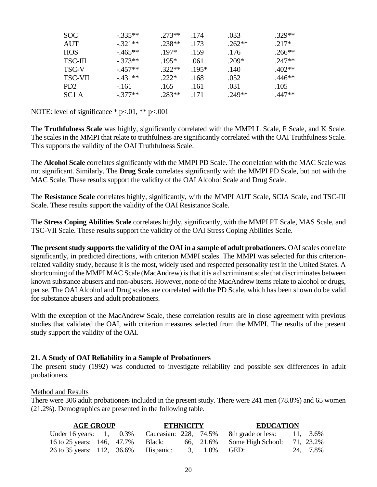| SOC.            | $-335**$  | $.273**$ | .174   | .033     | $.329**$ |
|-----------------|-----------|----------|--------|----------|----------|
| AUT             | $-321**$  | 238**    | .173   | $.262**$ | $217*$   |
| <b>HOS</b>      | $-465**$  | $197*$   | .159   | .176     | $.266**$ |
| <b>TSC-III</b>  | $-373**$  | $195*$   | .061   | $.209*$  | $247**$  |
| TSC-V           | $-457**$  | $322**$  | $195*$ | .140     | $402**$  |
| <b>TSC-VII</b>  | $-431**$  | $222*$   | .168   | .052     | $.446**$ |
| PD <sub>2</sub> | $-161$    | .165     | .161   | .031     | .105     |
| SC1A            | $-.377**$ | 283**    | 171    | 249**    | $.447**$ |

NOTE: level of significance  $*$  p<.01,  $**$  p<.001

The **Truthfulness Scale** was highly, significantly correlated with the MMPI L Scale, F Scale, and K Scale. The scales in the MMPI that relate to truthfulness are significantly correlated with the OAI Truthfulness Scale. This supports the validity of the OAI Truthfulness Scale.

The **Alcohol Scale** correlates significantly with the MMPI PD Scale. The correlation with the MAC Scale was not significant. Similarly, The **Drug Scale** correlates significantly with the MMPI PD Scale, but not with the MAC Scale. These results support the validity of the OAI Alcohol Scale and Drug Scale.

The **Resistance Scale** correlates highly, significantly, with the MMPI AUT Scale, SCIA Scale, and TSC-III Scale. These results support the validity of the OAI Resistance Scale.

The **Stress Coping Abilities Scale** correlates highly, significantly, with the MMPI PT Scale, MAS Scale, and TSC-VII Scale. These results support the validity of the OAI Stress Coping Abilities Scale.

**The present study supports the validity of the OAI in a sample of adult probationers.** OAI scales correlate significantly, in predicted directions, with criterion MMPI scales. The MMPI was selected for this criterionrelated validity study, because it is the most, widely used and respected personality test in the United States. A shortcoming of the MMPI MAC Scale (MacAndrew) is that it is a discriminant scale that discriminates between known substance abusers and non-abusers. However, none of the MacAndrew items relate to alcohol or drugs, per se. The OAI Alcohol and Drug scales are correlated with the PD Scale, which has been shown do be valid for substance abusers and adult probationers.

With the exception of the MacAndrew Scale, these correlation results are in close agreement with previous studies that validated the OAI, with criterion measures selected from the MMPI. The results of the present study support the validity of the OAI.

### **21. A Study of OAI Reliability in a Sample of Probationers**

The present study (1992) was conducted to investigate reliability and possible sex differences in adult probationers.

Method and Results

There were 306 adult probationers included in the present study. There were 241 men (78.8%) and 65 women (21.2%). Demographics are presented in the following table.

| <b>AGE GROUP</b>                     |  | ETHNICITY |  | <b>EDUCATION</b>                                                          |          |
|--------------------------------------|--|-----------|--|---------------------------------------------------------------------------|----------|
|                                      |  |           |  | Under 16 years: 1, 0.3% Caucasian: 228, 74.5% 8th grade or less: 11, 3.6% |          |
| 16 to 25 years: 146, 47.7% Black:    |  |           |  | 66, 21.6% Some High School: 71, 23.2%                                     |          |
| 26 to 35 years: 112, 36.6% Hispanic: |  |           |  | 3, 1.0% GED:                                                              | 24, 7.8% |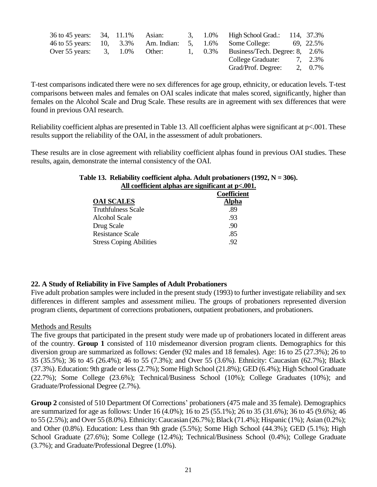| 36 to 45 years: 34, 11.1%            |  | Asian: |  | 3, 1.0% High School Grad.: 114, 37.3%        |         |
|--------------------------------------|--|--------|--|----------------------------------------------|---------|
| 46 to 55 years: 10, 3.3% Am. Indian: |  |        |  | 5, 1.6% Some College: 69, 22.5%              |         |
| Over 55 years: $3, 1.0\%$            |  | Other: |  | 1, $0.3\%$ Business/Tech. Degree: 8, $2.6\%$ |         |
|                                      |  |        |  | College Graduate: 7, 2.3%                    |         |
|                                      |  |        |  | Grad/Prof. Degree:                           | 2, 0.7% |

T-test comparisons indicated there were no sex differences for age group, ethnicity, or education levels. T-test comparisons between males and females on OAI scales indicate that males scored, significantly, higher than females on the Alcohol Scale and Drug Scale. These results are in agreement with sex differences that were found in previous OAI research.

Reliability coefficient alphas are presented in Table 13. All coefficient alphas were significant at p<.001. These results support the reliability of the OAI, in the assessment of adult probationers.

These results are in close agreement with reliability coefficient alphas found in previous OAI studies. These results, again, demonstrate the internal consistency of the OAI.

| An coemetent alphas are significant at $p<.001$ |
|-------------------------------------------------|
| <b>Coefficient</b>                              |
| <b>Alpha</b>                                    |
| .89                                             |
| .93                                             |
| .90                                             |
| .85                                             |
| .92                                             |
|                                                 |

### **Table 13. Reliability coefficient alpha. Adult probationers (1992, N = 306). All coefficient alphas are significant at p<.001.**

### **22. A Study of Reliability in Five Samples of Adult Probationers**

Five adult probation samples were included in the present study (1993) to further investigate reliability and sex differences in different samples and assessment milieu. The groups of probationers represented diversion program clients, department of corrections probationers, outpatient probationers, and probationers.

### Methods and Results

The five groups that participated in the present study were made up of probationers located in different areas of the country. **Group 1** consisted of 110 misdemeanor diversion program clients. Demographics for this diversion group are summarized as follows: Gender (92 males and 18 females). Age: 16 to 25 (27.3%); 26 to 35 (35.5%); 36 to 45 (26.4%); 46 to 55 (7.3%); and Over 55 (3.6%). Ethnicity: Caucasian (62.7%); Black (37.3%). Education: 9th grade or less (2.7%); Some High School (21.8%); GED (6.4%); High School Graduate (22.7%); Some College (23.6%); Technical/Business School (10%); College Graduates (10%); and Graduate/Professional Degree (2.7%).

**Group 2** consisted of 510 Department Of Corrections' probationers (475 male and 35 female). Demographics are summarized for age as follows: Under 16 (4.0%); 16 to 25 (55.1%); 26 to 35 (31.6%); 36 to 45 (9.6%); 46 to 55 (2.5%); and Over 55 (8.0%). Ethnicity: Caucasian (26.7%); Black (71.4%); Hispanic (1%); Asian (0.2%); and Other (0.8%). Education: Less than 9th grade (5.5%); Some High School (44.3%); GED (5.1%); High School Graduate (27.6%); Some College (12.4%); Technical/Business School (0.4%); College Graduate (3.7%); and Graduate/Professional Degree (1.0%).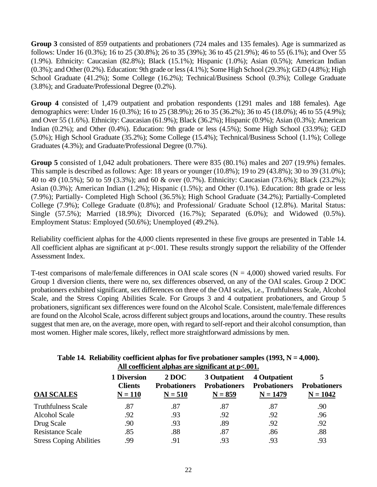**Group 3** consisted of 859 outpatients and probationers (724 males and 135 females). Age is summarized as follows: Under 16 (0.3%); 16 to 25 (30.8%); 26 to 35 (39%); 36 to 45 (21.9%); 46 to 55 (6.1%); and Over 55 (1.9%). Ethnicity: Caucasian (82.8%); Black (15.1%); Hispanic (1.0%); Asian (0.5%); American Indian (0.3%); and Other (0.2%). Education: 9th grade or less (4.1%); Some High School (29.3%); GED (4.8%); High School Graduate (41.2%); Some College (16.2%); Technical/Business School (0.3%); College Graduate (3.8%); and Graduate/Professional Degree (0.2%).

**Group 4** consisted of 1,479 outpatient and probation respondents (1291 males and 188 females). Age demographics were: Under 16 (0.3%); 16 to 25 (38.9%); 26 to 35 (36.2%); 36 to 45 (18.0%); 46 to 55 (4.9%); and Over 55 (1.6%). Ethnicity: Caucasian (61.9%); Black (36.2%); Hispanic (0.9%); Asian (0.3%); American Indian (0.2%); and Other (0.4%). Education: 9th grade or less (4.5%); Some High School (33.9%); GED (5.0%); High School Graduate (35.2%); Some College (15.4%); Technical/Business School (1.1%); College Graduates (4.3%); and Graduate/Professional Degree (0.7%).

**Group 5** consisted of 1,042 adult probationers. There were 835 (80.1%) males and 207 (19.9%) females. This sample is described as follows: Age: 18 years or younger (10.8%); 19 to 29 (43.8%); 30 to 39 (31.0%); 40 to 49 (10.5%); 50 to 59 (3.3%); and 60 & over (0.7%). Ethnicity: Caucasian (73.6%); Black (23.2%); Asian (0.3%); American Indian (1.2%); Hispanic (1.5%); and Other (0.1%). Education: 8th grade or less (7.9%); Partially- Completed High School (36.5%); High School Graduate (34.2%); Partially-Completed College (7.9%); College Graduate (0.8%); and Professional/ Graduate School (12.8%). Marital Status: Single (57.5%); Married (18.9%); Divorced (16.7%); Separated (6.0%); and Widowed (0.5%). Employment Status: Employed (50.6%); Unemployed (49.2%).

Reliability coefficient alphas for the 4,000 clients represented in these five groups are presented in Table 14. All coefficient alphas are significant at p<.001. These results strongly support the reliability of the Offender Assessment Index.

T-test comparisons of male/female differences in OAI scale scores ( $N = 4,000$ ) showed varied results. For Group 1 diversion clients, there were no, sex differences observed, on any of the OAI scales. Group 2 DOC probationers exhibited significant, sex differences on three of the OAI scales, i.e., Truthfulness Scale, Alcohol Scale, and the Stress Coping Abilities Scale. For Groups 3 and 4 outpatient probationers, and Group 5 probationers, significant sex differences were found on the Alcohol Scale. Consistent, male/female differences are found on the Alcohol Scale, across different subject groups and locations, around the country. These results suggest that men are, on the average, more open, with regard to self-report and their alcohol consumption, than most women. Higher male scores, likely, reflect more straightforward admissions by men.

| An coemetent alphas are significant at $p0$ . |                                                   |                                                  |                                                  |                                                   |                                   |  |
|-----------------------------------------------|---------------------------------------------------|--------------------------------------------------|--------------------------------------------------|---------------------------------------------------|-----------------------------------|--|
| <b>OAI SCALES</b>                             | <b>1 Diversion</b><br><b>Clients</b><br>$N = 110$ | <b>2 DOC</b><br><b>Probationers</b><br>$N = 510$ | 3 Outpatient<br><b>Probationers</b><br>$N = 859$ | 4 Outpatient<br><b>Probationers</b><br>$N = 1479$ | <b>Probationers</b><br>$N = 1042$ |  |
| <b>Truthfulness Scale</b>                     | .87                                               | .87                                              | .87                                              | .87                                               | .90                               |  |
| <b>Alcohol Scale</b>                          | .92                                               | .93                                              | .92                                              | .92                                               | .96                               |  |
| Drug Scale                                    | .90                                               | .93                                              | .89                                              | .92                                               | .92                               |  |
| <b>Resistance Scale</b>                       | .85                                               | .88                                              | .87                                              | .86                                               | .88                               |  |
| <b>Stress Coping Abilities</b>                | .99                                               | .91                                              | .93                                              | .93                                               | .93                               |  |

### **Table 14. Reliability coefficient alphas for five probationer samples (1993, N = 4,000). All coefficient alphas are significant at p<.001.**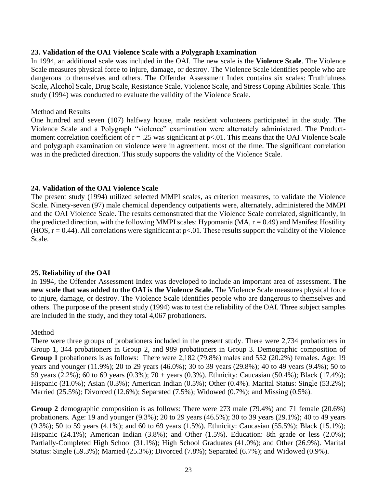### **23. Validation of the OAI Violence Scale with a Polygraph Examination**

In 1994, an additional scale was included in the OAI. The new scale is the **Violence Scale**. The Violence Scale measures physical force to injure, damage, or destroy. The Violence Scale identifies people who are dangerous to themselves and others. The Offender Assessment Index contains six scales: Truthfulness Scale, Alcohol Scale, Drug Scale, Resistance Scale, Violence Scale, and Stress Coping Abilities Scale. This study (1994) was conducted to evaluate the validity of the Violence Scale.

### Method and Results

One hundred and seven (107) halfway house, male resident volunteers participated in the study. The Violence Scale and a Polygraph "violence" examination were alternately administered. The Productmoment correlation coefficient of  $r = .25$  was significant at  $p < .01$ . This means that the OAI Violence Scale and polygraph examination on violence were in agreement, most of the time. The significant correlation was in the predicted direction. This study supports the validity of the Violence Scale.

### **24. Validation of the OAI Violence Scale**

The present study (1994) utilized selected MMPI scales, as criterion measures, to validate the Violence Scale. Ninety-seven (97) male chemical dependency outpatients were, alternately, administered the MMPI and the OAI Violence Scale. The results demonstrated that the Violence Scale correlated, significantly, in the predicted direction, with the following MMPI scales: Hypomania (MA,  $r = 0.49$ ) and Manifest Hostility (HOS,  $r = 0.44$ ). All correlations were significant at  $p < 0.01$ . These results support the validity of the Violence Scale.

### **25. Reliability of the OAI**

In 1994, the Offender Assessment Index was developed to include an important area of assessment. **The new scale that was added to the OAI is the Violence Scale.** The Violence Scale measures physical force to injure, damage, or destroy. The Violence Scale identifies people who are dangerous to themselves and others. The purpose of the present study (1994) was to test the reliability of the OAI. Three subject samples are included in the study, and they total 4,067 probationers.

### Method

There were three groups of probationers included in the present study. There were 2,734 probationers in Group 1, 344 probationers in Group 2, and 989 probationers in Group 3. Demographic composition of **Group 1** probationers is as follows: There were 2,182 (79.8%) males and 552 (20.2%) females. Age: 19 years and younger (11.9%); 20 to 29 years (46.0%); 30 to 39 years (29.8%); 40 to 49 years (9.4%); 50 to 59 years (2.2%); 60 to 69 years (0.3%); 70 + years (0.3%). Ethnicity: Caucasian (50.4%); Black (17.4%); Hispanic (31.0%); Asian (0.3%); American Indian (0.5%); Other (0.4%). Marital Status: Single (53.2%); Married (25.5%); Divorced (12.6%); Separated (7.5%); Widowed (0.7%); and Missing (0.5%).

**Group 2** demographic composition is as follows: There were 273 male (79.4%) and 71 female (20.6%) probationers. Age: 19 and younger (9.3%); 20 to 29 years (46.5%); 30 to 39 years (29.1%); 40 to 49 years (9.3%); 50 to 59 years (4.1%); and 60 to 69 years (1.5%). Ethnicity: Caucasian (55.5%); Black (15.1%); Hispanic (24.1%); American Indian (3.8%); and Other (1.5%). Education: 8th grade or less (2.0%); Partially-Completed High School (31.1%); High School Graduates (41.0%); and Other (26.9%). Marital Status: Single (59.3%); Married (25.3%); Divorced (7.8%); Separated (6.7%); and Widowed (0.9%).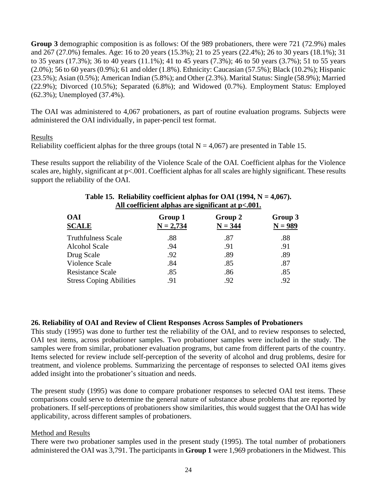**Group 3** demographic composition is as follows: Of the 989 probationers, there were 721 (72.9%) males and 267 (27.0%) females. Age: 16 to 20 years (15.3%); 21 to 25 years (22.4%); 26 to 30 years (18.1%); 31 to 35 years (17.3%); 36 to 40 years (11.1%); 41 to 45 years (7.3%); 46 to 50 years (3.7%); 51 to 55 years (2.0%); 56 to 60 years (0.9%); 61 and older (1.8%). Ethnicity: Caucasian (57.5%); Black (10.2%); Hispanic (23.5%); Asian (0.5%); American Indian (5.8%); and Other (2.3%). Marital Status: Single (58.9%); Married (22.9%); Divorced (10.5%); Separated (6.8%); and Widowed (0.7%). Employment Status: Employed (62.3%); Unemployed (37.4%).

The OAI was administered to 4,067 probationers, as part of routine evaluation programs. Subjects were administered the OAI individually, in paper-pencil test format.

### Results

Reliability coefficient alphas for the three groups (total  $N = 4.067$ ) are presented in Table 15.

These results support the reliability of the Violence Scale of the OAI. Coefficient alphas for the Violence scales are, highly, significant at  $p<.001$ . Coefficient alphas for all scales are highly significant. These results support the reliability of the OAI.

| All coefficient alphas are significant at $p<.001$ . |                        |                      |                      |  |  |
|------------------------------------------------------|------------------------|----------------------|----------------------|--|--|
| <b>OAI</b><br><b>SCALE</b>                           | Group 1<br>$N = 2,734$ | Group 2<br>$N = 344$ | Group 3<br>$N = 989$ |  |  |
| <b>Truthfulness Scale</b>                            | .88                    | .87                  | .88                  |  |  |
| <b>Alcohol Scale</b>                                 | .94                    | .91                  | .91                  |  |  |
| Drug Scale                                           | .92                    | .89                  | .89                  |  |  |
| <b>Violence Scale</b>                                | .84                    | .85                  | .87                  |  |  |
| <b>Resistance Scale</b>                              | .85                    | .86                  | .85                  |  |  |
| <b>Stress Coping Abilities</b>                       | .91                    | .92                  | .92                  |  |  |
|                                                      |                        |                      |                      |  |  |

### **Table 15. Reliability coefficient alphas for OAI (1994, N = 4,067). All coefficient alphas are significant at p<.001.**

### **26. Reliability of OAI and Review of Client Responses Across Samples of Probationers**

This study (1995) was done to further test the reliability of the OAI, and to review responses to selected, OAI test items, across probationer samples. Two probationer samples were included in the study. The samples were from similar, probationer evaluation programs, but came from different parts of the country. Items selected for review include self-perception of the severity of alcohol and drug problems, desire for treatment, and violence problems. Summarizing the percentage of responses to selected OAI items gives added insight into the probationer's situation and needs.

The present study (1995) was done to compare probationer responses to selected OAI test items. These comparisons could serve to determine the general nature of substance abuse problems that are reported by probationers. If self-perceptions of probationers show similarities, this would suggest that the OAI has wide applicability, across different samples of probationers.

### Method and Results

There were two probationer samples used in the present study (1995). The total number of probationers administered the OAI was 3,791. The participants in **Group 1** were 1,969 probationers in the Midwest. This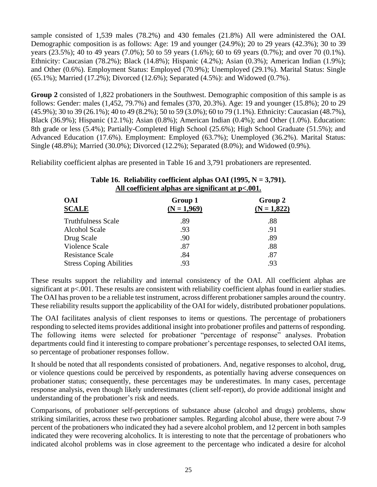sample consisted of 1,539 males (78.2%) and 430 females (21.8%) All were administered the OAI. Demographic composition is as follows: Age: 19 and younger (24.9%); 20 to 29 years (42.3%); 30 to 39 years (23.5%); 40 to 49 years (7.0%); 50 to 59 years (1.6%); 60 to 69 years (0.7%); and over 70 (0.1%). Ethnicity: Caucasian (78.2%); Black (14.8%); Hispanic (4.2%); Asian (0.3%); American Indian (1.9%); and Other (0.6%). Employment Status: Employed (70.9%); Unemployed (29.1%). Marital Status: Single (65.1%); Married (17.2%); Divorced (12.6%); Separated (4.5%): and Widowed (0.7%).

**Group 2** consisted of 1,822 probationers in the Southwest. Demographic composition of this sample is as follows: Gender: males (1,452, 79.7%) and females (370, 20.3%). Age: 19 and younger (15.8%); 20 to 29 (45.9%); 30 to 39 (26.1%); 40 to 49 (8.2%); 50 to 59 (3.0%); 60 to 79 (1.1%). Ethnicity: Caucasian (48.7%), Black (36.9%); Hispanic (12.1%); Asian (0.8%); American Indian (0.4%); and Other (1.0%). Education: 8th grade or less (5.4%); Partially-Completed High School (25.6%); High School Graduate (51.5%); and Advanced Education (17.6%). Employment: Employed (63.7%); Unemployed (36.2%). Marital Status: Single (48.8%); Married (30.0%); Divorced (12.2%); Separated (8.0%); and Widowed (0.9%).

Reliability coefficient alphas are presented in Table 16 and 3,791 probationers are represented.

| Group 1<br>$(N = 1,969)$ | Group 2<br>$(N = 1,822)$ |
|--------------------------|--------------------------|
| .89                      | .88                      |
| .93                      | .91                      |
| .90                      | .89                      |
| .87                      | .88                      |
| .84                      | .87                      |
| .93                      | .93                      |
|                          |                          |

### **Table 16. Reliability coefficient alphas OAI (1995, N = 3,791). All coefficient alphas are significant at p<.001.**

These results support the reliability and internal consistency of the OAI. All coefficient alphas are significant at  $p<0.001$ . These results are consistent with reliability coefficient alphas found in earlier studies. The OAI has proven to be a reliable test instrument, across different probationer samples around the country. These reliability results support the applicability of the OAI for widely, distributed probationer populations.

The OAI facilitates analysis of client responses to items or questions. The percentage of probationers responding to selected items provides additional insight into probationer profiles and patterns of responding. The following items were selected for probationer "percentage of response" analyses. Probation departments could find it interesting to compare probationer's percentage responses, to selected OAI items, so percentage of probationer responses follow.

It should be noted that all respondents consisted of probationers. And, negative responses to alcohol, drug, or violence questions could be perceived by respondents, as potentially having adverse consequences on probationer status; consequently, these percentages may be underestimates. In many cases, percentage response analysis, even though likely underestimates (client self-report), *do* provide additional insight and understanding of the probationer's risk and needs.

Comparisons, of probationer self-perceptions of substance abuse (alcohol and drugs) problems, show striking similarities, across these two probationer samples. Regarding alcohol abuse, there were about 7-9 percent of the probationers who indicated they had a severe alcohol problem, and 12 percent in both samples indicated they were recovering alcoholics. It is interesting to note that the percentage of probationers who indicated alcohol problems was in close agreement to the percentage who indicated a desire for alcohol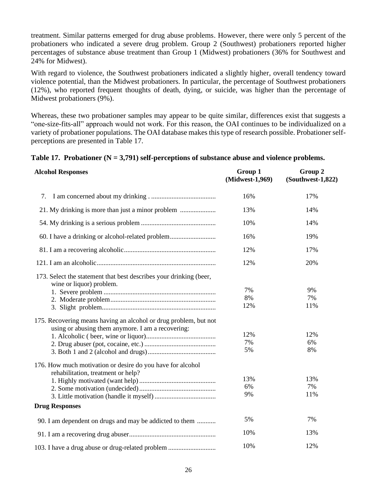treatment. Similar patterns emerged for drug abuse problems. However, there were only 5 percent of the probationers who indicated a severe drug problem. Group 2 (Southwest) probationers reported higher percentages of substance abuse treatment than Group 1 (Midwest) probationers (36% for Southwest and 24% for Midwest).

With regard to violence, the Southwest probationers indicated a slightly higher, overall tendency toward violence potential, than the Midwest probationers. In particular, the percentage of Southwest probationers (12%), who reported frequent thoughts of death, dying, or suicide, was higher than the percentage of Midwest probationers (9%).

Whereas, these two probationer samples may appear to be quite similar, differences exist that suggests a "one-size-fits-all" approach would not work. For this reason, the OAI continues to be individualized on a variety of probationer populations. The OAI database makes this type of research possible. Probationer selfperceptions are presented in Table 17.

### **Table 17. Probationer (N = 3,791) self-perceptions of substance abuse and violence problems.**

| <b>Alcohol Responses</b>                                                                                              | Group 1<br>(Midwest-1,969) | Group 2<br>(Southwest-1,822) |
|-----------------------------------------------------------------------------------------------------------------------|----------------------------|------------------------------|
| 7.                                                                                                                    | 16%                        | 17%                          |
|                                                                                                                       | 13%                        | 14%                          |
|                                                                                                                       | 10%                        | 14%                          |
| 60. I have a drinking or alcohol-related problem                                                                      | 16%                        | 19%                          |
|                                                                                                                       | 12%                        | 17%                          |
|                                                                                                                       | 12%                        | 20%                          |
| 173. Select the statement that best describes your drinking (beer,<br>wine or liquor) problem.                        |                            |                              |
|                                                                                                                       | 7%                         | 9%                           |
|                                                                                                                       | 8%                         | 7%                           |
|                                                                                                                       | 12%                        | 11%                          |
| 175. Recovering means having an alcohol or drug problem, but not<br>using or abusing them anymore. I am a recovering: |                            |                              |
|                                                                                                                       | 12%                        | 12%                          |
|                                                                                                                       | 7%                         | 6%                           |
|                                                                                                                       | 5%                         | 8%                           |
| 176. How much motivation or desire do you have for alcohol<br>rehabilitation, treatment or help?                      |                            |                              |
|                                                                                                                       | 13%                        | 13%                          |
|                                                                                                                       | 6%                         | 7%                           |
|                                                                                                                       | 9%                         | 11%                          |
| <b>Drug Responses</b>                                                                                                 |                            |                              |
| 90. I am dependent on drugs and may be addicted to them                                                               | 5%                         | 7%                           |
|                                                                                                                       | 10%                        | 13%                          |
| 103. I have a drug abuse or drug-related problem                                                                      | 10%                        | 12%                          |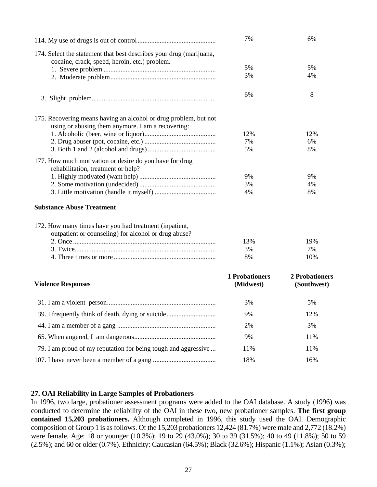|                                                                                                                       | 7%                                 | 6%                            |
|-----------------------------------------------------------------------------------------------------------------------|------------------------------------|-------------------------------|
| 174. Select the statement that best describes your drug (marijuana,<br>cocaine, crack, speed, heroin, etc.) problem.  |                                    |                               |
|                                                                                                                       | 5%                                 | 5%                            |
|                                                                                                                       | 3%                                 | 4%                            |
|                                                                                                                       | 6%                                 | 8                             |
| 175. Recovering means having an alcohol or drug problem, but not<br>using or abusing them anymore. I am a recovering: |                                    |                               |
|                                                                                                                       | 12%                                | 12%                           |
|                                                                                                                       | 7%                                 | 6%                            |
|                                                                                                                       | 5%                                 | 8%                            |
| 177. How much motivation or desire do you have for drug<br>rehabilitation, treatment or help?                         |                                    |                               |
|                                                                                                                       | 9%                                 | 9%                            |
|                                                                                                                       | 3%                                 | 4%                            |
|                                                                                                                       | 4%                                 | 8%                            |
| <b>Substance Abuse Treatment</b>                                                                                      |                                    |                               |
| 172. How many times have you had treatment (inpatient,<br>outpatient or counseling) for alcohol or drug abuse?        |                                    |                               |
|                                                                                                                       | 13%                                | 19%                           |
|                                                                                                                       | 3%                                 | 7%                            |
|                                                                                                                       | 8%                                 | 10%                           |
| <b>Violence Responses</b>                                                                                             | <b>1 Probationers</b><br>(Midwest) | 2 Probationers<br>(Southwest) |
|                                                                                                                       |                                    |                               |
|                                                                                                                       | 3%                                 | 5%                            |
| 39. I frequently think of death, dying or suicide                                                                     | 9%                                 | 12%                           |
|                                                                                                                       | 2%                                 | 3%                            |
|                                                                                                                       | 9%                                 | 11%                           |
| 79. I am proud of my reputation for being tough and aggressive                                                        | 11%                                | 11%                           |
|                                                                                                                       | 18%                                | 16%                           |

### **27. OAI Reliability in Large Samples of Probationers**

In 1996, two large, probationer assessment programs were added to the OAI database. A study (1996) was conducted to determine the reliability of the OAI in these two, new probationer samples. **The first group contained 15,203 probationers.** Although completed in 1996, this study used the OAI. Demographic composition of Group 1 is as follows. Of the 15,203 probationers 12,424 (81.7%) were male and 2,772 (18.2%) were female. Age: 18 or younger (10.3%); 19 to 29 (43.0%); 30 to 39 (31.5%); 40 to 49 (11.8%); 50 to 59 (2.5%); and 60 or older (0.7%). Ethnicity: Caucasian (64.5%); Black (32.6%); Hispanic (1.1%); Asian (0.3%);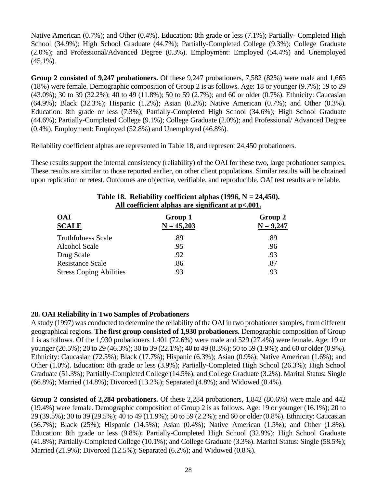Native American (0.7%); and Other (0.4%). Education: 8th grade or less (7.1%); Partially- Completed High School (34.9%); High School Graduate (44.7%); Partially-Completed College (9.3%); College Graduate (2.0%); and Professional/Advanced Degree (0.3%). Employment: Employed (54.4%) and Unemployed (45.1%).

**Group 2 consisted of 9,247 probationers.** Of these 9,247 probationers, 7,582 (82%) were male and 1,665 (18%) were female. Demographic composition of Group 2 is as follows. Age: 18 or younger (9.7%); 19 to 29 (43.0%); 30 to 39 (32.2%); 40 to 49 (11.8%); 50 to 59 (2.7%); and 60 or older (0.7%). Ethnicity: Caucasian (64.9%); Black (32.3%); Hispanic (1.2%); Asian (0.2%); Native American (0.7%); and Other (0.3%). Education: 8th grade or less (7.3%); Partially-Completed High School (34.6%); High School Graduate (44.6%); Partially-Completed College (9.1%); College Graduate (2.0%); and Professional/ Advanced Degree (0.4%). Employment: Employed (52.8%) and Unemployed (46.8%).

Reliability coefficient alphas are represented in Table 18, and represent 24,450 probationers.

These results support the internal consistency (reliability) of the OAI for these two, large probationer samples. These results are similar to those reported earlier, on other client populations. Similar results will be obtained upon replication or retest. Outcomes are objective, verifiable, and reproducible. OAI test results are reliable.

| Table 10. Achability Cochicient alphas $(1320, 13 - 24,430)$ .<br>All coefficient alphas are significant at $p<.001$ . |                         |                        |  |  |
|------------------------------------------------------------------------------------------------------------------------|-------------------------|------------------------|--|--|
| <b>OAI</b><br><b>SCALE</b>                                                                                             | Group 1<br>$N = 15,203$ | Group 2<br>$N = 9,247$ |  |  |
| <b>Truthfulness Scale</b>                                                                                              | .89                     | .89                    |  |  |
| <b>Alcohol Scale</b>                                                                                                   | .95                     | .96                    |  |  |
| Drug Scale                                                                                                             | .92                     | .93                    |  |  |
| <b>Resistance Scale</b>                                                                                                | .86                     | .87                    |  |  |
| <b>Stress Coping Abilities</b>                                                                                         | .93                     | .93                    |  |  |

### **Table 18. Reliability coefficient alphas (1996, N = 24,450).**

### **28. OAI Reliability in Two Samples of Probationers**

A study (1997) was conducted to determine the reliability of the OAI in two probationer samples, from different geographical regions. **The first group consisted of 1,930 probationers.** Demographic composition of Group 1 is as follows. Of the 1,930 probationers 1,401 (72.6%) were male and 529 (27.4%) were female. Age: 19 or younger (20.5%); 20 to 29 (46.3%); 30 to 39 (22.1%); 40 to 49 (8.3%); 50 to 59 (1.9%); and 60 or older (0.9%). Ethnicity: Caucasian (72.5%); Black (17.7%); Hispanic (6.3%); Asian (0.9%); Native American (1.6%); and Other (1.0%). Education: 8th grade or less (3.9%); Partially-Completed High School (26.3%); High School Graduate (51.3%); Partially-Completed College (14.5%); and College Graduate (3.2%). Marital Status: Single (66.8%); Married (14.8%); Divorced (13.2%); Separated (4.8%); and Widowed (0.4%).

**Group 2 consisted of 2,284 probationers.** Of these 2,284 probationers, 1,842 (80.6%) were male and 442 (19.4%) were female. Demographic composition of Group 2 is as follows. Age: 19 or younger (16.1%); 20 to 29 (39.5%); 30 to 39 (29.5%); 40 to 49 (11.9%); 50 to 59 (2.2%); and 60 or older (0.8%). Ethnicity: Caucasian (56.7%); Black (25%); Hispanic (14.5%); Asian (0.4%); Native American (1.5%); and Other (1.8%). Education: 8th grade or less (9.8%); Partially-Completed High School (32.9%); High School Graduate (41.8%); Partially-Completed College (10.1%); and College Graduate (3.3%). Marital Status: Single (58.5%); Married (21.9%); Divorced (12.5%); Separated (6.2%); and Widowed (0.8%).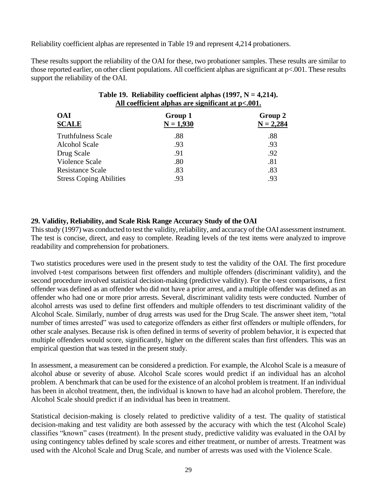Reliability coefficient alphas are represented in Table 19 and represent 4,214 probationers.

These results support the reliability of the OAI for these, two probationer samples. These results are similar to those reported earlier, on other client populations. All coefficient alphas are significant at p<.001. These results support the reliability of the OAI.

| All coefficient alphas are significant at $p<.001$ . |                        |  |  |
|------------------------------------------------------|------------------------|--|--|
| Group 1<br>$N = 1,930$                               | Group 2<br>$N = 2,284$ |  |  |
| .88                                                  | .88                    |  |  |
| .93                                                  | .93                    |  |  |
| .91                                                  | .92                    |  |  |
| .80                                                  | .81                    |  |  |
| .83                                                  | .83                    |  |  |
| .93                                                  | .93                    |  |  |
|                                                      |                        |  |  |

### Table 19. Reliability coefficient alphas  $(1997, N = 4,214)$ . **All coefficient alphas are significant at p<.001.**

### **29. Validity, Reliability, and Scale Risk Range Accuracy Study of the OAI**

This study (1997) was conducted to test the validity, reliability, and accuracy of the OAI assessment instrument. The test is concise, direct, and easy to complete. Reading levels of the test items were analyzed to improve readability and comprehension for probationers.

Two statistics procedures were used in the present study to test the validity of the OAI. The first procedure involved t-test comparisons between first offenders and multiple offenders (discriminant validity), and the second procedure involved statistical decision-making (predictive validity). For the t-test comparisons, a first offender was defined as an offender who did not have a prior arrest, and a multiple offender was defined as an offender who had one or more prior arrests. Several, discriminant validity tests were conducted. Number of alcohol arrests was used to define first offenders and multiple offenders to test discriminant validity of the Alcohol Scale. Similarly, number of drug arrests was used for the Drug Scale. The answer sheet item, "total number of times arrested" was used to categorize offenders as either first offenders or multiple offenders, for other scale analyses. Because risk is often defined in terms of severity of problem behavior, it is expected that multiple offenders would score, significantly, higher on the different scales than first offenders. This was an empirical question that was tested in the present study.

In assessment, a measurement can be considered a prediction. For example, the Alcohol Scale is a measure of alcohol abuse or severity of abuse. Alcohol Scale scores would predict if an individual has an alcohol problem. A benchmark that can be used for the existence of an alcohol problem is treatment. If an individual has been in alcohol treatment, then, the individual is known to have had an alcohol problem. Therefore, the Alcohol Scale should predict if an individual has been in treatment.

Statistical decision-making is closely related to predictive validity of a test. The quality of statistical decision-making and test validity are both assessed by the accuracy with which the test (Alcohol Scale) classifies "known" cases (treatment). In the present study, predictive validity was evaluated in the OAI by using contingency tables defined by scale scores and either treatment, or number of arrests. Treatment was used with the Alcohol Scale and Drug Scale, and number of arrests was used with the Violence Scale.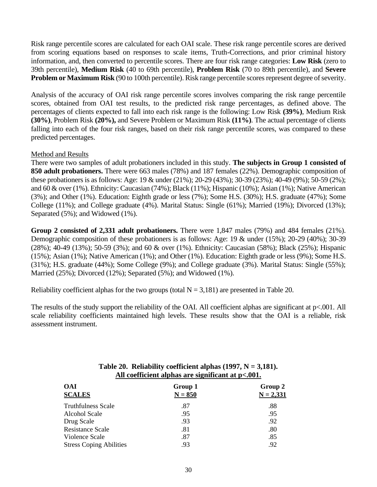Risk range percentile scores are calculated for each OAI scale. These risk range percentile scores are derived from scoring equations based on responses to scale items, Truth-Corrections, and prior criminal history information, and, then converted to percentile scores. There are four risk range categories: **Low Risk** (zero to 39th percentile), **Medium Risk** (40 to 69th percentile), **Problem Risk** (70 to 89th percentile), and **Severe Problem or Maximum Risk** (90 to 100th percentile). Risk range percentile scores represent degree of severity.

Analysis of the accuracy of OAI risk range percentile scores involves comparing the risk range percentile scores, obtained from OAI test results, to the predicted risk range percentages, as defined above. The percentages of clients expected to fall into each risk range is the following: Low Risk **(39%)**, Medium Risk **(30%)**, Problem Risk **(20%),** and Severe Problem or Maximum Risk **(11%)**. The actual percentage of clients falling into each of the four risk ranges, based on their risk range percentile scores, was compared to these predicted percentages.

### Method and Results

There were two samples of adult probationers included in this study. **The subjects in Group 1 consisted of 850 adult probationers.** There were 663 males (78%) and 187 females (22%). Demographic composition of these probationers is as follows: Age: 19 & under (21%); 20-29 (43%); 30-39 (23%); 40-49 (9%); 50-59 (2%); and 60 & over (1%). Ethnicity: Caucasian (74%); Black (11%); Hispanic (10%); Asian (1%); Native American (3%); and Other (1%). Education: Eighth grade or less (7%); Some H.S. (30%); H.S. graduate (47%); Some College (11%); and College graduate (4%). Marital Status: Single (61%); Married (19%); Divorced (13%); Separated (5%); and Widowed (1%).

**Group 2 consisted of 2,331 adult probationers.** There were 1,847 males (79%) and 484 females (21%). Demographic composition of these probationers is as follows: Age: 19 & under (15%); 20-29 (40%); 30-39 (28%); 40-49 (13%); 50-59 (3%); and 60 & over (1%). Ethnicity: Caucasian (58%); Black (25%); Hispanic (15%); Asian (1%); Native American (1%); and Other (1%). Education: Eighth grade or less (9%); Some H.S. (31%); H.S. graduate (44%); Some College (9%); and College graduate (3%). Marital Status: Single (55%); Married (25%); Divorced (12%); Separated (5%); and Widowed (1%).

Reliability coefficient alphas for the two groups (total  $N = 3,181$ ) are presented in Table 20.

The results of the study support the reliability of the OAI. All coefficient alphas are significant at  $p<.001$ . All scale reliability coefficients maintained high levels. These results show that the OAI is a reliable, risk assessment instrument.

| <b>OAI</b><br><b>SCALES</b>    | Group 1<br>$N = 850$ | Group 2<br>$N = 2,331$ |
|--------------------------------|----------------------|------------------------|
| <b>Truthfulness Scale</b>      | .87                  | .88                    |
| <b>Alcohol Scale</b>           | .95                  | .95                    |
| Drug Scale                     | .93                  | .92                    |
| <b>Resistance Scale</b>        | .81                  | .80                    |
| Violence Scale                 | .87                  | .85                    |
| <b>Stress Coping Abilities</b> | .93                  | .92                    |

### **Table 20. Reliability coefficient alphas (1997, N = 3,181). All coefficient alphas are significant at p<.001.**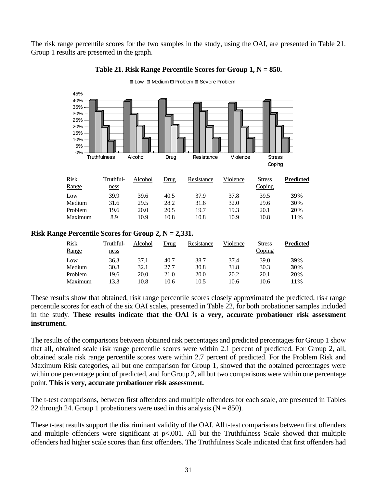The risk range percentile scores for the two samples in the study, using the OAI, are presented in Table 21. Group 1 results are presented in the graph.



### **Table 21. Risk Range Percentile Scores for Group 1, N = 850.**

 $\Box$  Low  $\Box$  Medium  $\Box$  Problem  $\Box$  Severe Problem

### **Risk Range Percentile Scores for Group 2, N = 2,331.**

| <b>Risk</b><br>Range | Truthful-<br>ness | Alcohol | Drug | Resistance | Violence | <b>Stress</b><br>Coping | Predicted  |
|----------------------|-------------------|---------|------|------------|----------|-------------------------|------------|
| Low                  | 36.3              | 37.1    | 40.7 | 38.7       | 37.4     | 39.0                    | 39%        |
| Medium               | 30.8              | 32.1    | 27.7 | 30.8       | 31.8     | 30.3                    | 30%        |
| Problem              | 19.6              | 20.0    | 21.0 | 20.0       | 20.2     | 20.1                    | 20%        |
| Maximum              | 13.3              | 10.8    | 10.6 | 10.5       | 10.6     | 10.6                    | <b>11%</b> |

These results show that obtained, risk range percentile scores closely approximated the predicted, risk range percentile scores for each of the six OAI scales, presented in Table 22, for both probationer samples included in the study. **These results indicate that the OAI is a very, accurate probationer risk assessment instrument.**

The results of the comparisons between obtained risk percentages and predicted percentages for Group 1 show that all, obtained scale risk range percentile scores were within 2.1 percent of predicted. For Group 2, all, obtained scale risk range percentile scores were within 2.7 percent of predicted. For the Problem Risk and Maximum Risk categories, all but one comparison for Group 1, showed that the obtained percentages were within one percentage point of predicted, and for Group 2, all but two comparisons were within one percentage point. **This is very, accurate probationer risk assessment.**

The t-test comparisons, between first offenders and multiple offenders for each scale, are presented in Tables 22 through 24. Group 1 probationers were used in this analysis  $(N = 850)$ .

These t-test results support the discriminant validity of the OAI. All t-test comparisons between first offenders and multiple offenders were significant at p<.001. All but the Truthfulness Scale showed that multiple offenders had higher scale scores than first offenders. The Truthfulness Scale indicated that first offenders had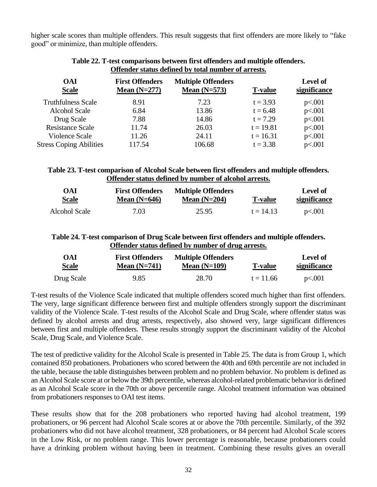higher scale scores than multiple offenders. This result suggests that first offenders are more likely to "fake good" or minimize, than multiple offenders.

| <b>OAI</b><br><b>Scale</b>     | <b>First Offenders</b><br>Mean $(N=277)$ | <b>Multiple Offenders</b><br>Mean $(N=573)$ | <b>T-value</b> | <b>Level of</b><br>significance |
|--------------------------------|------------------------------------------|---------------------------------------------|----------------|---------------------------------|
| <b>Truthfulness Scale</b>      | 8.91                                     | 7.23                                        | $t = 3.93$     | p<.001                          |
| <b>Alcohol Scale</b>           | 6.84                                     | 13.86                                       | $t = 6.48$     | p<.001                          |
| Drug Scale                     | 7.88                                     | 14.86                                       | $t = 7.29$     | p<.001                          |
| <b>Resistance Scale</b>        | 11.74                                    | 26.03                                       | $t = 19.81$    | p<.001                          |
| Violence Scale                 | 11.26                                    | 24.11                                       | $t = 16.31$    | p<.001                          |
| <b>Stress Coping Abilities</b> | 117.54                                   | 106.68                                      | $t = 3.38$     | p<.001                          |

### **Table 22. T-test comparisons between first offenders and multiple offenders. Offender status defined by total number of arrests.**

### **Table 23. T-test comparison of Alcohol Scale between first offenders and multiple offenders. Offender status defined by number of alcohol arrests.**

| OAI           | <b>First Offenders</b> | <b>Multiple Offenders</b> | <b>T-value</b> | Level of     |
|---------------|------------------------|---------------------------|----------------|--------------|
| <b>Scale</b>  | Mean $(N=646)$         | Mean $(N=204)$            |                | significance |
| Alcohol Scale | 7.03                   | 25.95                     | $t = 14.13$    | p<.001       |

### **Table 24. T-test comparison of Drug Scale between first offenders and multiple offenders. Offender status defined by number of drug arrests.**

| OAI          | <b>First Offenders</b> | <b>Multiple Offenders</b> | <b>T-value</b> | <b>Level of</b> |
|--------------|------------------------|---------------------------|----------------|-----------------|
| <b>Scale</b> | Mean $(N=741)$         | Mean $(N=109)$            |                | significance    |
| Drug Scale   | 9.85                   | 28.70                     | $t = 11.66$    | p<.001          |

T-test results of the Violence Scale indicated that multiple offenders scored much higher than first offenders. The very, large significant difference between first and multiple offenders strongly support the discriminant validity of the Violence Scale. T-test results of the Alcohol Scale and Drug Scale, where offender status was defined by alcohol arrests and drug arrests, respectively, also showed very, large significant differences between first and multiple offenders. These results strongly support the discriminant validity of the Alcohol Scale, Drug Scale, and Violence Scale.

The test of predictive validity for the Alcohol Scale is presented in Table 25. The data is from Group 1, which contained 850 probationers. Probationers who scored between the 40th and 69th percentile are not included in the table, because the table distinguishes between problem and no problem behavior. No problem is defined as an Alcohol Scale score at or below the 39th percentile, whereas alcohol-related problematic behavior is defined as an Alcohol Scale score in the 70th or above percentile range. Alcohol treatment information was obtained from probationers responses to OAI test items.

These results show that for the 208 probationers who reported having had alcohol treatment, 199 probationers, or 96 percent had Alcohol Scale scores at or above the 70th percentile. Similarly, of the 392 probationers who did not have alcohol treatment, 328 probationers, or 84 percent had Alcohol Scale scores in the Low Risk, or no problem range. This lower percentage is reasonable, because probationers could have a drinking problem without having been in treatment. Combining these results gives an overall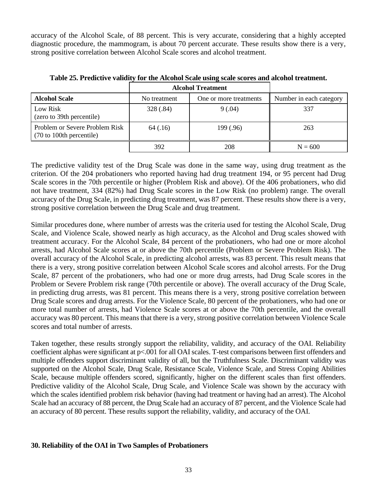accuracy of the Alcohol Scale, of 88 percent. This is very accurate, considering that a highly accepted diagnostic procedure, the mammogram, is about 70 percent accurate. These results show there is a very, strong positive correlation between Alcohol Scale scores and alcohol treatment.

|                                                            | <b>Alcohol Treatment</b> |                        |                         |
|------------------------------------------------------------|--------------------------|------------------------|-------------------------|
| <b>Alcohol Scale</b>                                       | No treatment             | One or more treatments | Number in each category |
| Low Risk<br>(zero to 39th percentile)                      | 328 (.84)                | 9(.04)                 | 337                     |
| Problem or Severe Problem Risk<br>(70 to 100th percentile) | 64 (.16)                 | 199 (.96)              | 263                     |
|                                                            | 392                      | 208                    | $N = 600$               |

**Table 25. Predictive validity for the Alcohol Scale using scale scores and alcohol treatment.**

The predictive validity test of the Drug Scale was done in the same way, using drug treatment as the criterion. Of the 204 probationers who reported having had drug treatment 194, or 95 percent had Drug Scale scores in the 70th percentile or higher (Problem Risk and above). Of the 406 probationers, who did not have treatment, 334 (82%) had Drug Scale scores in the Low Risk (no problem) range. The overall accuracy of the Drug Scale, in predicting drug treatment, was 87 percent. These results show there is a very, strong positive correlation between the Drug Scale and drug treatment.

Similar procedures done, where number of arrests was the criteria used for testing the Alcohol Scale, Drug Scale, and Violence Scale, showed nearly as high accuracy, as the Alcohol and Drug scales showed with treatment accuracy. For the Alcohol Scale, 84 percent of the probationers, who had one or more alcohol arrests, had Alcohol Scale scores at or above the 70th percentile (Problem or Severe Problem Risk). The overall accuracy of the Alcohol Scale, in predicting alcohol arrests, was 83 percent. This result means that there is a very, strong positive correlation between Alcohol Scale scores and alcohol arrests. For the Drug Scale, 87 percent of the probationers, who had one or more drug arrests, had Drug Scale scores in the Problem or Severe Problem risk range (70th percentile or above). The overall accuracy of the Drug Scale, in predicting drug arrests, was 81 percent. This means there is a very, strong positive correlation between Drug Scale scores and drug arrests. For the Violence Scale, 80 percent of the probationers, who had one or more total number of arrests, had Violence Scale scores at or above the 70th percentile, and the overall accuracy was 80 percent. This means that there is a very, strong positive correlation between Violence Scale scores and total number of arrests.

Taken together, these results strongly support the reliability, validity, and accuracy of the OAI. Reliability coefficient alphas were significant at p<.001 for all OAI scales. T-test comparisons between first offenders and multiple offenders support discriminant validity of all, but the Truthfulness Scale. Discriminant validity was supported on the Alcohol Scale, Drug Scale, Resistance Scale, Violence Scale, and Stress Coping Abilities Scale, because multiple offenders scored, significantly, higher on the different scales than first offenders. Predictive validity of the Alcohol Scale, Drug Scale, and Violence Scale was shown by the accuracy with which the scales identified problem risk behavior (having had treatment or having had an arrest). The Alcohol Scale had an accuracy of 88 percent, the Drug Scale had an accuracy of 87 percent, and the Violence Scale had an accuracy of 80 percent. These results support the reliability, validity, and accuracy of the OAI.

### **30. Reliability of the OAI in Two Samples of Probationers**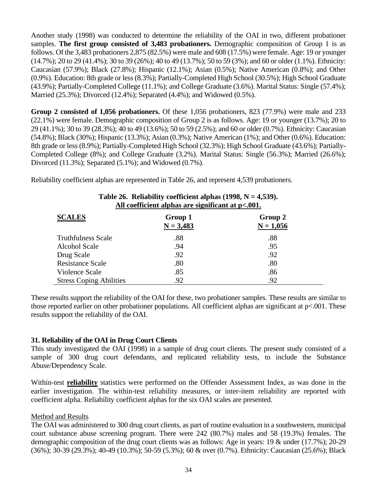Another study (1998) was conducted to determine the reliability of the OAI in two, different probationer samples. **The first group consisted of 3,483 probationers.** Demographic composition of Group 1 is as follows. Of the 3,483 probationers 2,875 (82.5%) were male and 608 (17.5%) were female. Age: 19 or younger (14.7%); 20 to 29 (41.4%); 30 to 39 (26%); 40 to 49 (13.7%); 50 to 59 (3%); and 60 or older (1.1%). Ethnicity: Caucasian (57.9%); Black (27.8%); Hispanic (12.1%); Asian (0.5%); Native American (0.8%); and Other (0.9%). Education: 8th grade or less (8.3%); Partially-Completed High School (30.5%); High School Graduate (43.9%); Partially-Completed College (11.1%); and College Graduate (3.6%). Marital Status: Single (57.4%); Married (25.3%); Divorced (12.4%); Separated (4.4%); and Widowed (0.5%).

**Group 2 consisted of 1,056 probationers.** Of these 1,056 probationers, 823 (77.9%) were male and 233 (22.1%) were female. Demographic composition of Group 2 is as follows. Age: 19 or younger (13.7%); 20 to 29 (41.1%); 30 to 39 (28.3%); 40 to 49 (13.6%); 50 to 59 (2.5%); and 60 or older (0.7%). Ethnicity: Caucasian (54.8%); Black (30%); Hispanic (13.3%); Asian (0.3%); Native American (1%); and Other (0.6%). Education: 8th grade or less (8.9%); Partially-Completed High School (32.3%); High School Graduate (43.6%); Partially-Completed College (8%); and College Graduate (3.2%). Marital Status: Single (56.3%); Married (26.6%); Divorced (11.3%); Separated (5.1%); and Widowed (0.7%).

Reliability coefficient alphas are represented in Table 26, and represent 4,539 probationers.

| All coefficient alphas are significant at p<.001. |                        |                        |  |
|---------------------------------------------------|------------------------|------------------------|--|
| <b>SCALES</b>                                     | Group 1<br>$N = 3,483$ | Group 2<br>$N = 1,056$ |  |
| <b>Truthfulness Scale</b>                         | .88                    | .88                    |  |
| Alcohol Scale                                     | .94                    | .95                    |  |
| Drug Scale                                        | .92                    | .92                    |  |
| <b>Resistance Scale</b>                           | .80                    | .80                    |  |
| Violence Scale                                    | .85                    | .86                    |  |
| <b>Stress Coping Abilities</b>                    | .92                    | .92                    |  |

### **Table 26. Reliability coefficient alphas (1998, N = 4,539).**

These results support the reliability of the OAI for these, two probationer samples. These results are similar to those reported earlier on other probationer populations. All coefficient alphas are significant at p<.001. These results support the reliability of the OAI.

### **31. Reliability of the OAI in Drug Court Clients**

This study investigated the OAI (1998) in a sample of drug court clients. The present study consisted of a sample of 300 drug court defendants, and replicated reliability tests, to include the Substance Abuse/Dependency Scale.

Within-test **reliability** statistics were performed on the Offender Assessment Index, as was done in the earlier investigation. The within-test reliability measures, or inter-item reliability are reported with coefficient alpha. Reliability coefficient alphas for the six OAI scales are presented.

### Method and Results

The OAI was administered to 300 drug court clients, as part of routine evaluation in a southwestern, municipal court substance abuse screening program. There were 242 (80.7%) males and 58 (19.3%) females. The demographic composition of the drug court clients was as follows: Age in years: 19 & under (17.7%); 20-29 (36%); 30-39 (29.3%); 40-49 (10.3%); 50-59 (5.3%); 60 & over (0.7%). Ethnicity: Caucasian (25.6%); Black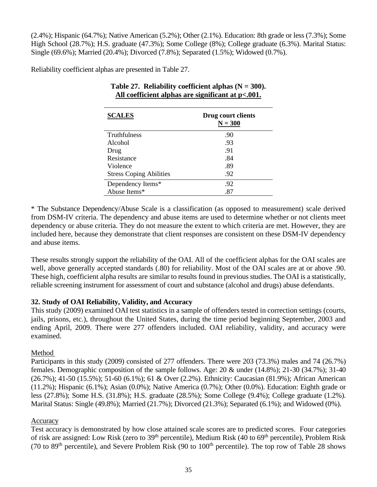(2.4%); Hispanic (64.7%); Native American (5.2%); Other (2.1%). Education: 8th grade or less (7.3%); Some High School (28.7%); H.S. graduate (47.3%); Some College (8%); College graduate (6.3%). Marital Status: Single (69.6%); Married (20.4%); Divorced (7.8%); Separated (1.5%); Widowed (0.7%).

Reliability coefficient alphas are presented in Table 27.

| <b>SCALES</b>                  | Drug court clients<br>$N = 300$ |
|--------------------------------|---------------------------------|
| <b>Truthfulness</b>            | .90                             |
| Alcohol                        | .93                             |
| Drug                           | .91                             |
| Resistance                     | .84                             |
| Violence                       | .89                             |
| <b>Stress Coping Abilities</b> | .92                             |
| Dependency Items*              | .92                             |
| Abuse Items*                   | .87                             |

| Table 27. Reliability coefficient alphas $(N = 300)$ . |
|--------------------------------------------------------|
| All coefficient alphas are significant at p<.001.      |

\* The Substance Dependency/Abuse Scale is a classification (as opposed to measurement) scale derived from DSM-IV criteria. The dependency and abuse items are used to determine whether or not clients meet dependency or abuse criteria. They do not measure the extent to which criteria are met. However, they are included here, because they demonstrate that client responses are consistent on these DSM-IV dependency and abuse items.

These results strongly support the reliability of the OAI. All of the coefficient alphas for the OAI scales are well, above generally accepted standards (.80) for reliability. Most of the OAI scales are at or above .90. These high, coefficient alpha results are similar to results found in previous studies. The OAI is a statistically, reliable screening instrument for assessment of court and substance (alcohol and drugs) abuse defendants.

### **32. Study of OAI Reliability, Validity, and Accuracy**

This study (2009) examined OAI test statistics in a sample of offenders tested in correction settings (courts, jails, prisons, etc.), throughout the United States, during the time period beginning September, 2003 and ending April, 2009. There were 277 offenders included. OAI reliability, validity, and accuracy were examined.

### Method

Participants in this study (2009) consisted of 277 offenders. There were 203 (73.3%) males and 74 (26.7%) females. Demographic composition of the sample follows. Age: 20 & under (14.8%); 21-30 (34.7%); 31-40 (26.7%); 41-50 (15.5%); 51-60 (6.1%); 61 & Over (2.2%). Ethnicity: Caucasian (81.9%); African American (11.2%); Hispanic (6.1%); Asian (0.0%); Native America (0.7%); Other (0.0%). Education: Eighth grade or less (27.8%); Some H.S. (31.8%); H.S. graduate (28.5%); Some College (9.4%); College graduate (1.2%). Marital Status: Single (49.8%); Married (21.7%); Divorced (21.3%); Separated (6.1%); and Widowed (0%).

### Accuracy

Test accuracy is demonstrated by how close attained scale scores are to predicted scores. Four categories of risk are assigned: Low Risk (zero to 39<sup>th</sup> percentile), Medium Risk (40 to 69<sup>th</sup> percentile), Problem Risk (70 to  $89<sup>th</sup>$  percentile), and Severe Problem Risk (90 to  $100<sup>th</sup>$  percentile). The top row of Table 28 shows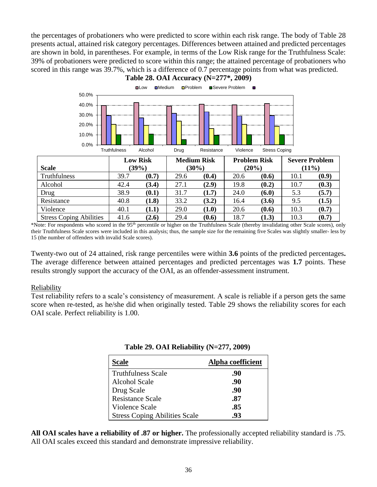the percentages of probationers who were predicted to score within each risk range. The body of Table 28 presents actual, attained risk category percentages. Differences between attained and predicted percentages are shown in bold, in parentheses. For example, in terms of the Low Risk range for the Truthfulness Scale: 39% of probationers were predicted to score within this range; the attained percentage of probationers who scored in this range was 39.7%, which is a difference of 0.7 percentage points from what was predicted. **Table 28. OAI Accuracy (N=277\*, 2009)**



\*Note: For respondents who scored in the 95<sup>th</sup> percentile or higher on the Truthfulness Scale (thereby invalidating other Scale scores), only their Truthfulness Scale scores were included in this analysis; thus, the sample size for the remaining five Scales was slightly smaller- less by 15 (the number of offenders with invalid Scale scores).

Twenty-two out of 24 attained, risk range percentiles were within **3.6** points of the predicted percentages**.**  The average difference between attained percentages and predicted percentages was **1.7** points. These results strongly support the accuracy of the OAI, as an offender-assessment instrument.

### Reliability

Test reliability refers to a scale's consistency of measurement. A scale is reliable if a person gets the same score when re-tested, as he/she did when originally tested. Table 29 shows the reliability scores for each OAI scale. Perfect reliability is 1.00.

|  | Table 29. OAI Reliability (N=277, 2009) |  |
|--|-----------------------------------------|--|
|--|-----------------------------------------|--|

| <b>Scale</b>                         | Alpha coefficient |
|--------------------------------------|-------------------|
| <b>Truthfulness Scale</b>            | .90               |
| Alcohol Scale                        | .90               |
| Drug Scale                           | .90               |
| <b>Resistance Scale</b>              | .87               |
| Violence Scale                       | .85               |
| <b>Stress Coping Abilities Scale</b> | .93               |

**All OAI scales have a reliability of .87 or higher.** The professionally accepted reliability standard is .75. All OAI scales exceed this standard and demonstrate impressive reliability.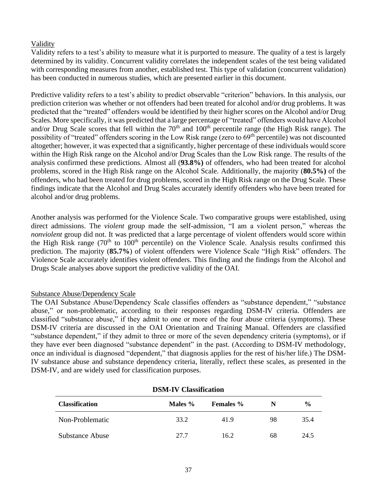### Validity

Validity refers to a test's ability to measure what it is purported to measure. The quality of a test is largely determined by its validity. Concurrent validity correlates the independent scales of the test being validated with corresponding measures from another, established test. This type of validation (concurrent validation) has been conducted in numerous studies, which are presented earlier in this document.

Predictive validity refers to a test's ability to predict observable "criterion" behaviors. In this analysis, our prediction criterion was whether or not offenders had been treated for alcohol and/or drug problems. It was predicted that the "treated" offenders would be identified by their higher scores on the Alcohol and/or Drug Scales. More specifically, it was predicted that a large percentage of "treated" offenders would have Alcohol and/or Drug Scale scores that fell within the 70<sup>th</sup> and 100<sup>th</sup> percentile range (the High Risk range). The possibility of "treated" offenders scoring in the Low Risk range (zero to 69<sup>th</sup> percentile) was not discounted altogether; however, it was expected that a significantly, higher percentage of these individuals would score within the High Risk range on the Alcohol and/or Drug Scales than the Low Risk range. The results of the analysis confirmed these predictions. Almost all (**93.8%)** of offenders, who had been treated for alcohol problems, scored in the High Risk range on the Alcohol Scale. Additionally, the majority (**80.5%)** of the offenders, who had been treated for drug problems, scored in the High Risk range on the Drug Scale. These findings indicate that the Alcohol and Drug Scales accurately identify offenders who have been treated for alcohol and/or drug problems.

Another analysis was performed for the Violence Scale. Two comparative groups were established, using direct admissions. The *violent* group made the self-admission, "I am a violent person," whereas the *nonviolent* group did not. It was predicted that a large percentage of violent offenders would score within the High Risk range  $(70<sup>th</sup>$  to  $100<sup>th</sup>$  percentile) on the Violence Scale. Analysis results confirmed this prediction. The majority (**85.7%**) of violent offenders were Violence Scale "High Risk" offenders. The Violence Scale accurately identifies violent offenders. This finding and the findings from the Alcohol and Drugs Scale analyses above support the predictive validity of the OAI.

### Substance Abuse/Dependency Scale

The OAI Substance Abuse/Dependency Scale classifies offenders as "substance dependent," "substance abuse," or non-problematic, according to their responses regarding DSM-IV criteria. Offenders are classified "substance abuse," if they admit to one or more of the four abuse criteria (symptoms). These DSM-IV criteria are discussed in the OAI Orientation and Training Manual. Offenders are classified "substance dependent," if they admit to three or more of the seven dependency criteria (symptoms), or if they have ever been diagnosed "substance dependent" in the past. (According to DSM-IV methodology, once an individual is diagnosed "dependent," that diagnosis applies for the rest of his/her life.) The DSM-IV substance abuse and substance dependency criteria, literally, reflect these scales, as presented in the DSM-IV, and are widely used for classification purposes.

| DSM-TV CRESSILICATION |         |                  |    |               |
|-----------------------|---------|------------------|----|---------------|
| <b>Classification</b> | Males % | <b>Females</b> % | N  | $\frac{6}{9}$ |
| Non-Problematic       | 33.2    | 41.9             | 98 | 35.4          |
| Substance Abuse       | 27.7    | 16.2             | 68 | 24.5          |

### **DSM-IV Classification**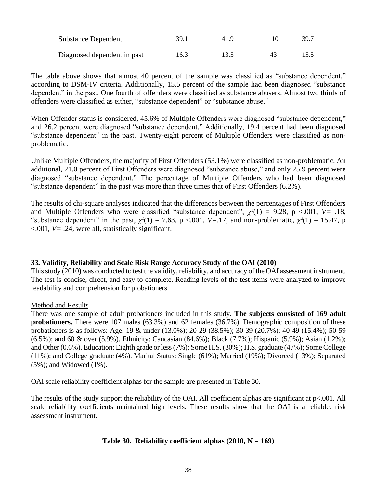| <b>Substance Dependent</b>  | 39.1 | 41.9 | $10^{-1}$ | 39.7 |
|-----------------------------|------|------|-----------|------|
| Diagnosed dependent in past | 16.3 | 13.5 | 43        | 15.5 |

The table above shows that almost 40 percent of the sample was classified as "substance dependent," according to DSM-IV criteria. Additionally, 15.5 percent of the sample had been diagnosed "substance dependent" in the past. One fourth of offenders were classified as substance abusers. Almost two thirds of offenders were classified as either, "substance dependent" or "substance abuse."

When Offender status is considered, 45.6% of Multiple Offenders were diagnosed "substance dependent," and 26.2 percent were diagnosed "substance dependent." Additionally, 19.4 percent had been diagnosed "substance dependent" in the past. Twenty-eight percent of Multiple Offenders were classified as nonproblematic.

Unlike Multiple Offenders, the majority of First Offenders (53.1%) were classified as non-problematic. An additional, 21.0 percent of First Offenders were diagnosed "substance abuse," and only 25.9 percent were diagnosed "substance dependent." The percentage of Multiple Offenders who had been diagnosed "substance dependent" in the past was more than three times that of First Offenders (6.2%).

The results of chi-square analyses indicated that the differences between the percentages of First Offenders and Multiple Offenders who were classified "substance dependent", *χ²*(1) = 9.28, p <.001, *V=* .18, "substance dependent" in the past,  $\chi^2(1) = 7.63$ , p <.001, *V*=.17, and non-problematic,  $\chi^2(1) = 15.47$ , p  $\leq 0.001$ ,  $V = .24$ , were all, statistically significant.

### **33. Validity, Reliability and Scale Risk Range Accuracy Study of the OAI (2010)**

This study (2010) was conducted to test the validity, reliability, and accuracy of the OAI assessment instrument. The test is concise, direct, and easy to complete. Reading levels of the test items were analyzed to improve readability and comprehension for probationers.

### Method and Results

There was one sample of adult probationers included in this study. **The subjects consisted of 169 adult probationers.** There were 107 males (63.3%) and 62 females (36.7%). Demographic composition of these probationers is as follows: Age: 19 & under (13.0%); 20-29 (38.5%); 30-39 (20.7%); 40-49 (15.4%); 50-59 (6.5%); and 60 & over (5.9%). Ethnicity: Caucasian (84.6%); Black (7.7%); Hispanic (5.9%); Asian (1.2%); and Other (0.6%). Education: Eighth grade or less (7%); Some H.S. (30%); H.S. graduate (47%); Some College (11%); and College graduate (4%). Marital Status: Single (61%); Married (19%); Divorced (13%); Separated (5%); and Widowed (1%).

OAI scale reliability coefficient alphas for the sample are presented in Table 30.

The results of the study support the reliability of the OAI. All coefficient alphas are significant at p<.001. All scale reliability coefficients maintained high levels. These results show that the OAI is a reliable; risk assessment instrument.

### **Table 30. Reliability coefficient alphas (2010, N = 169)**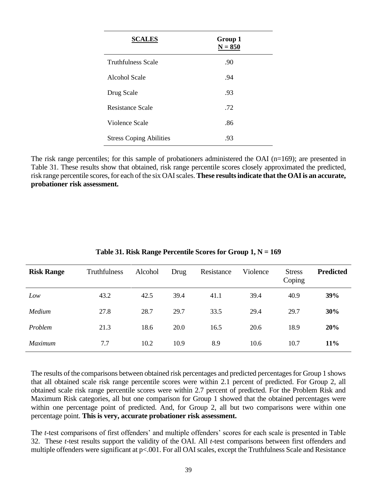| <b>SCALES</b>                  | Group 1<br>$N = 850$ |
|--------------------------------|----------------------|
| <b>Truthfulness Scale</b>      | .90                  |
| Alcohol Scale                  | .94                  |
| Drug Scale                     | .93                  |
| Resistance Scale               | .72                  |
| Violence Scale                 | .86                  |
| <b>Stress Coping Abilities</b> | .93                  |

The risk range percentiles; for this sample of probationers administered the OAI (n=169); are presented in Table 31. These results show that obtained, risk range percentile scores closely approximated the predicted, risk range percentile scores, for each of the six OAI scales. **These results indicate that the OAI is an accurate, probationer risk assessment.**

| <b>Risk Range</b> | <b>Truthfulness</b> | Alcohol | Drug | Resistance | Violence | <b>Stress</b><br>Coping | <b>Predicted</b> |
|-------------------|---------------------|---------|------|------------|----------|-------------------------|------------------|
| Low               | 43.2                | 42.5    | 39.4 | 41.1       | 39.4     | 40.9                    | 39%              |
| Medium            | 27.8                | 28.7    | 29.7 | 33.5       | 29.4     | 29.7                    | 30%              |
| Problem           | 21.3                | 18.6    | 20.0 | 16.5       | 20.6     | 18.9                    | 20%              |
| Maximum           | 7.7                 | 10.2    | 10.9 | 8.9        | 10.6     | 10.7                    | 11%              |

**Table 31. Risk Range Percentile Scores for Group 1, N = 169**

The results of the comparisons between obtained risk percentages and predicted percentages for Group 1 shows that all obtained scale risk range percentile scores were within 2.1 percent of predicted. For Group 2, all obtained scale risk range percentile scores were within 2.7 percent of predicted. For the Problem Risk and Maximum Risk categories, all but one comparison for Group 1 showed that the obtained percentages were within one percentage point of predicted. And, for Group 2, all but two comparisons were within one percentage point. **This is very, accurate probationer risk assessment.**

The *t*-test comparisons of first offenders' and multiple offenders' scores for each scale is presented in Table 32. These *t*-test results support the validity of the OAI. All *t*-test comparisons between first offenders and multiple offenders were significant at p<.001. For all OAI scales, except the Truthfulness Scale and Resistance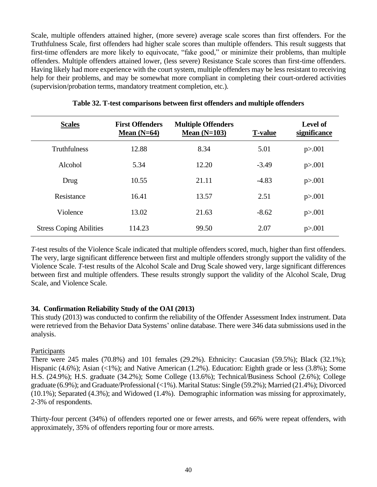Scale, multiple offenders attained higher, (more severe) average scale scores than first offenders. For the Truthfulness Scale, first offenders had higher scale scores than multiple offenders. This result suggests that first-time offenders are more likely to equivocate, "fake good," or minimize their problems, than multiple offenders. Multiple offenders attained lower, (less severe) Resistance Scale scores than first-time offenders. Having likely had more experience with the court system, multiple offenders may be less resistant to receiving help for their problems, and may be somewhat more compliant in completing their court-ordered activities (supervision/probation terms, mandatory treatment completion, etc.).

| <b>Scales</b>                  | <b>First Offenders</b><br>Mean $(N=64)$ | <b>Multiple Offenders</b><br>Mean $(N=103)$ | <b>T-value</b> | <b>Level of</b><br>significance |
|--------------------------------|-----------------------------------------|---------------------------------------------|----------------|---------------------------------|
| <b>Truthfulness</b>            | 12.88                                   | 8.34                                        | 5.01           | p > 0.001                       |
| Alcohol                        | 5.34                                    | 12.20                                       | $-3.49$        | p > 0.001                       |
| Drug                           | 10.55                                   | 21.11                                       | $-4.83$        | p > 0.001                       |
| Resistance                     | 16.41                                   | 13.57                                       | 2.51           | p > 0.001                       |
| Violence                       | 13.02                                   | 21.63                                       | $-8.62$        | p > 0.001                       |
| <b>Stress Coping Abilities</b> | 114.23                                  | 99.50                                       | 2.07           | p > 0.001                       |

### **Table 32. T-test comparisons between first offenders and multiple offenders**

*T*-test results of the Violence Scale indicated that multiple offenders scored, much, higher than first offenders. The very, large significant difference between first and multiple offenders strongly support the validity of the Violence Scale. *T*-test results of the Alcohol Scale and Drug Scale showed very, large significant differences between first and multiple offenders. These results strongly support the validity of the Alcohol Scale, Drug Scale, and Violence Scale.

### **34. Confirmation Reliability Study of the OAI (2013)**

This study (2013) was conducted to confirm the reliability of the Offender Assessment Index instrument. Data were retrieved from the Behavior Data Systems' online database. There were 346 data submissions used in the analysis.

### Participants

There were 245 males (70.8%) and 101 females (29.2%). Ethnicity: Caucasian (59.5%); Black (32.1%); Hispanic (4.6%); Asian (<1%); and Native American (1.2%). Education: Eighth grade or less (3.8%); Some H.S. (24.9%); H.S. graduate (34.2%); Some College (13.6%); Technical/Business School (2.6%); College graduate (6.9%); and Graduate/Professional (<1%). Marital Status: Single (59.2%); Married (21.4%); Divorced (10.1%); Separated (4.3%); and Widowed (1.4%). Demographic information was missing for approximately, 2-3% of respondents.

Thirty-four percent (34%) of offenders reported one or fewer arrests, and 66% were repeat offenders, with approximately, 35% of offenders reporting four or more arrests.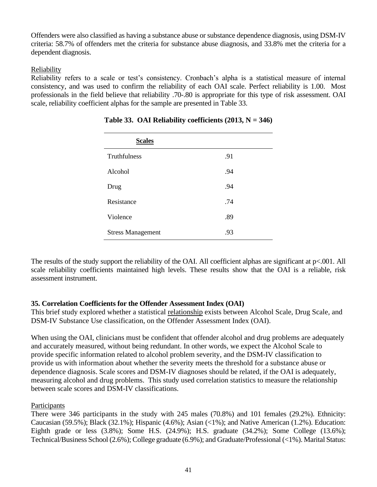Offenders were also classified as having a substance abuse or substance dependence diagnosis, using DSM-IV criteria: 58.7% of offenders met the criteria for substance abuse diagnosis, and 33.8% met the criteria for a dependent diagnosis.

### Reliability

Reliability refers to a scale or test's consistency. Cronbach's alpha is a statistical measure of internal consistency, and was used to confirm the reliability of each OAI scale. Perfect reliability is 1.00. Most professionals in the field believe that reliability .70-.80 is appropriate for this type of risk assessment. OAI scale, reliability coefficient alphas for the sample are presented in Table 33.

| <b>Scales</b>            |     |
|--------------------------|-----|
| Truthfulness             | .91 |
| Alcohol                  | .94 |
| Drug                     | .94 |
| Resistance               | .74 |
| Violence                 | .89 |
| <b>Stress Management</b> | .93 |

**Table 33. OAI Reliability coefficients**  $(2013, N = 346)$ 

The results of the study support the reliability of the OAI. All coefficient alphas are significant at p<.001. All scale reliability coefficients maintained high levels. These results show that the OAI is a reliable, risk assessment instrument.

### **35. Correlation Coefficients for the Offender Assessment Index (OAI)**

This brief study explored whether a statistical relationship exists between Alcohol Scale, Drug Scale, and DSM-IV Substance Use classification, on the Offender Assessment Index (OAI).

When using the OAI, clinicians must be confident that offender alcohol and drug problems are adequately and accurately measured, without being redundant. In other words, we expect the Alcohol Scale to provide specific information related to alcohol problem severity, and the DSM-IV classification to provide us with information about whether the severity meets the threshold for a substance abuse or dependence diagnosis. Scale scores and DSM-IV diagnoses should be related, if the OAI is adequately, measuring alcohol and drug problems. This study used correlation statistics to measure the relationship between scale scores and DSM-IV classifications.

### Participants

There were 346 participants in the study with 245 males (70.8%) and 101 females (29.2%). Ethnicity: Caucasian (59.5%); Black (32.1%); Hispanic (4.6%); Asian (<1%); and Native American (1.2%). Education: Eighth grade or less (3.8%); Some H.S. (24.9%); H.S. graduate (34.2%); Some College (13.6%); Technical/Business School (2.6%); College graduate (6.9%); and Graduate/Professional (<1%). Marital Status: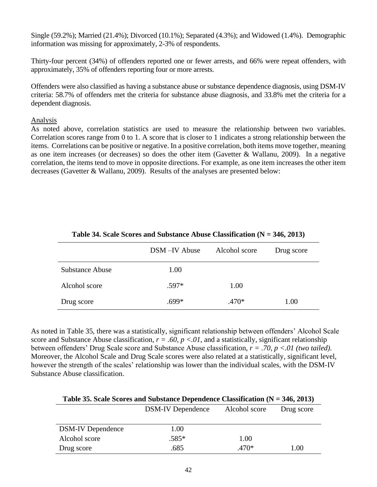Single (59.2%); Married (21.4%); Divorced (10.1%); Separated (4.3%); and Widowed (1.4%). Demographic information was missing for approximately, 2-3% of respondents.

Thirty-four percent (34%) of offenders reported one or fewer arrests, and 66% were repeat offenders, with approximately, 35% of offenders reporting four or more arrests.

Offenders were also classified as having a substance abuse or substance dependence diagnosis, using DSM-IV criteria: 58.7% of offenders met the criteria for substance abuse diagnosis, and 33.8% met the criteria for a dependent diagnosis.

### Analysis

As noted above, correlation statistics are used to measure the relationship between two variables. Correlation scores range from 0 to 1. A score that is closer to 1 indicates a strong relationship between the items. Correlations can be positive or negative. In a positive correlation, both items move together, meaning as one item increases (or decreases) so does the other item (Gavetter & Wallanu, 2009). In a negative correlation, the items tend to move in opposite directions. For example, as one item increases the other item decreases (Gavetter & Wallanu, 2009). Results of the analyses are presented below:

|                 | DSM-IV Abuse | Alcohol score | Drug score |
|-----------------|--------------|---------------|------------|
| Substance Abuse | 1.00         |               |            |
| Alcohol score   | $.597*$      | 1.00          |            |
| Drug score      | $.699*$      | $.470*$       | 1.00       |

**Table 34. Scale Scores and Substance Abuse Classification (N = 346, 2013)**

As noted in Table 35, there was a statistically, significant relationship between offenders' Alcohol Scale score and Substance Abuse classification,  $r = .60$ ,  $p < .01$ , and a statistically, significant relationship between offenders' Drug Scale score and Substance Abuse classification, *r = .70, p <.01 (two tailed).* Moreover, the Alcohol Scale and Drug Scale scores were also related at a statistically, significant level, however the strength of the scales' relationship was lower than the individual scales, with the DSM-IV Substance Abuse classification.

| Table 35. Scale Scores and Substance Dependence Classification ( $N = 346, 2013$ ) |                          |               |            |
|------------------------------------------------------------------------------------|--------------------------|---------------|------------|
|                                                                                    | <b>DSM-IV</b> Dependence | Alcohol score | Drug score |
|                                                                                    |                          |               |            |
| <b>DSM-IV</b> Dependence                                                           | 1.00                     |               |            |
| Alcohol score                                                                      | $.585*$                  | 1.00          |            |
| Drug score                                                                         | .685                     | .470*         | 1.00       |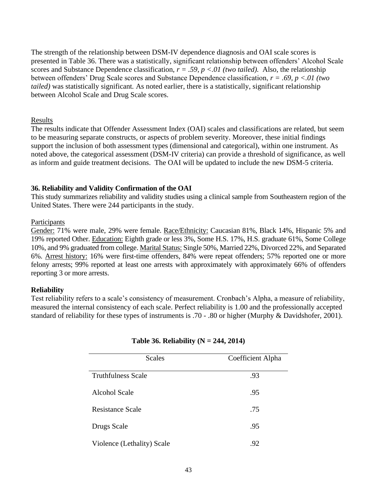The strength of the relationship between DSM-IV dependence diagnosis and OAI scale scores is presented in Table 36. There was a statistically, significant relationship between offenders' Alcohol Scale scores and Substance Dependence classification,  $r = .59$ ,  $p < .01$  (two tailed). Also, the relationship between offenders' Drug Scale scores and Substance Dependence classification, *r = .69, p <.01 (two tailed)* was statistically significant*.* As noted earlier, there is a statistically, significant relationship between Alcohol Scale and Drug Scale scores.

### Results

The results indicate that Offender Assessment Index (OAI) scales and classifications are related, but seem to be measuring separate constructs, or aspects of problem severity. Moreover, these initial findings support the inclusion of both assessment types (dimensional and categorical), within one instrument. As noted above, the categorical assessment (DSM-IV criteria) can provide a threshold of significance, as well as inform and guide treatment decisions. The OAI will be updated to include the new DSM-5 criteria.

### **36. Reliability and Validity Confirmation of the OAI**

This study summarizes reliability and validity studies using a clinical sample from Southeastern region of the United States. There were 244 participants in the study.

### **Participants**

Gender: 71% were male, 29% were female. Race/Ethnicity: Caucasian 81%, Black 14%, Hispanic 5% and 19% reported Other. Education: Eighth grade or less 3%, Some H.S. 17%, H.S. graduate 61%, Some College 10%, and 9% graduated from college. Marital Status: Single 50%, Married 22%, Divorced 22%, and Separated 6%. Arrest history: 16% were first-time offenders, 84% were repeat offenders; 57% reported one or more felony arrests; 99% reported at least one arrests with approximately with approximately 66% of offenders reporting 3 or more arrests.

### **Reliability**

Test reliability refers to a scale's consistency of measurement. Cronbach's Alpha, a measure of reliability, measured the internal consistency of each scale. Perfect reliability is 1.00 and the professionally accepted standard of reliability for these types of instruments is .70 - .80 or higher (Murphy & Davidshofer, 2001).

| <b>Scales</b>              | Coefficient Alpha |
|----------------------------|-------------------|
| <b>Truthfulness Scale</b>  | .93               |
| <b>Alcohol Scale</b>       | .95               |
| <b>Resistance Scale</b>    | .75               |
| Drugs Scale                | .95               |
| Violence (Lethality) Scale | .92               |

### **Table 36. Reliability (N = 244, 2014)**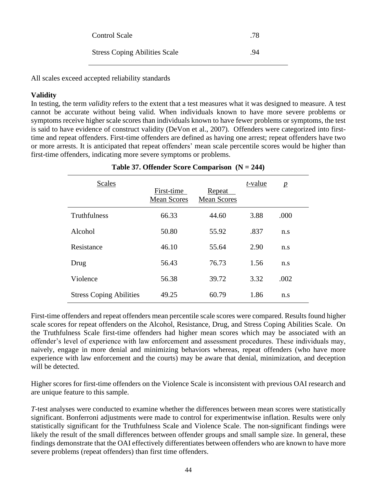| <b>Control Scale</b>                 | .78 |
|--------------------------------------|-----|
| <b>Stress Coping Abilities Scale</b> | .94 |

All scales exceed accepted reliability standards

### **Validity**

In testing, the term *validity* refers to the extent that a test measures what it was designed to measure. A test cannot be accurate without being valid. When individuals known to have more severe problems or symptoms receive higher scale scores than individuals known to have fewer problems or symptoms, the test is said to have evidence of construct validity (DeVon et al., 2007). Offenders were categorized into firsttime and repeat offenders. First-time offenders are defined as having one arrest; repeat offenders have two or more arrests. It is anticipated that repeat offenders' mean scale percentile scores would be higher than first-time offenders, indicating more severe symptoms or problems.

| <b>Scales</b>                  | First-time<br><b>Mean Scores</b> | Repeat<br><b>Mean Scores</b> | <i>t</i> -value | $\mathbf{p}$ |
|--------------------------------|----------------------------------|------------------------------|-----------------|--------------|
| Truthfulness                   | 66.33                            | 44.60                        | 3.88            | .000         |
| Alcohol                        | 50.80                            | 55.92                        | .837            | n.s          |
| Resistance                     | 46.10                            | 55.64                        | 2.90            | n.s          |
| Drug                           | 56.43                            | 76.73                        | 1.56            | n.s          |
| Violence                       | 56.38                            | 39.72                        | 3.32            | .002         |
| <b>Stress Coping Abilities</b> | 49.25                            | 60.79                        | 1.86            | n.s          |

### **Table 37. Offender Score Comparison (N = 244)**

First-time offenders and repeat offenders mean percentile scale scores were compared. Results found higher scale scores for repeat offenders on the Alcohol, Resistance, Drug, and Stress Coping Abilities Scale. On the Truthfulness Scale first-time offenders had higher mean scores which may be associated with an offender's level of experience with law enforcement and assessment procedures. These individuals may, naively, engage in more denial and minimizing behaviors whereas, repeat offenders (who have more experience with law enforcement and the courts) may be aware that denial, minimization, and deception will be detected.

Higher scores for first-time offenders on the Violence Scale is inconsistent with previous OAI research and are unique feature to this sample.

*T*-test analyses were conducted to examine whether the differences between mean scores were statistically significant. Bonferroni adjustments were made to control for experimentwise inflation. Results were only statistically significant for the Truthfulness Scale and Violence Scale. The non-significant findings were likely the result of the small differences between offender groups and small sample size. In general, these findings demonstrate that the OAI effectively differentiates between offenders who are known to have more severe problems (repeat offenders) than first time offenders.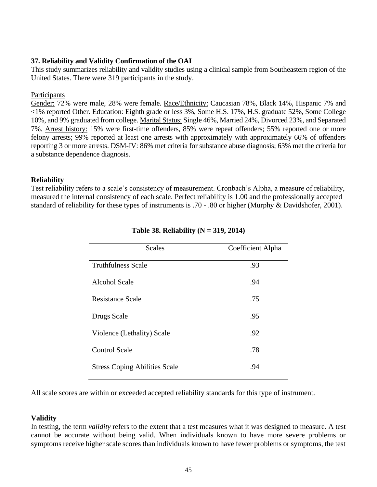### **37. Reliability and Validity Confirmation of the OAI**

This study summarizes reliability and validity studies using a clinical sample from Southeastern region of the United States. There were 319 participants in the study.

### Participants

Gender: 72% were male, 28% were female. Race/Ethnicity: Caucasian 78%, Black 14%, Hispanic 7% and <1% reported Other. Education: Eighth grade or less 3%, Some H.S. 17%, H.S. graduate 52%, Some College 10%, and 9% graduated from college. Marital Status: Single 46%, Married 24%, Divorced 23%, and Separated 7%. Arrest history: 15% were first-time offenders, 85% were repeat offenders; 55% reported one or more felony arrests; 99% reported at least one arrests with approximately with approximately 66% of offenders reporting 3 or more arrests. DSM-IV: 86% met criteria for substance abuse diagnosis; 63% met the criteria for a substance dependence diagnosis.

### **Reliability**

Test reliability refers to a scale's consistency of measurement. Cronbach's Alpha, a measure of reliability, measured the internal consistency of each scale. Perfect reliability is 1.00 and the professionally accepted standard of reliability for these types of instruments is .70 - .80 or higher (Murphy & Davidshofer, 2001).

| <b>Scales</b>                        | Coefficient Alpha |
|--------------------------------------|-------------------|
| <b>Truthfulness Scale</b>            | .93               |
| <b>Alcohol Scale</b>                 | .94               |
| <b>Resistance Scale</b>              | .75               |
| Drugs Scale                          | .95               |
| Violence (Lethality) Scale           | .92               |
| <b>Control Scale</b>                 | .78               |
| <b>Stress Coping Abilities Scale</b> | .94               |

### **Table 38. Reliability (N = 319, 2014)**

All scale scores are within or exceeded accepted reliability standards for this type of instrument.

### **Validity**

In testing, the term *validity* refers to the extent that a test measures what it was designed to measure. A test cannot be accurate without being valid. When individuals known to have more severe problems or symptoms receive higher scale scores than individuals known to have fewer problems or symptoms, the test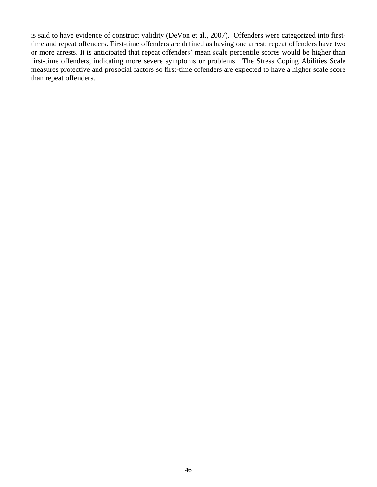is said to have evidence of construct validity (DeVon et al., 2007). Offenders were categorized into firsttime and repeat offenders. First-time offenders are defined as having one arrest; repeat offenders have two or more arrests. It is anticipated that repeat offenders' mean scale percentile scores would be higher than first-time offenders, indicating more severe symptoms or problems. The Stress Coping Abilities Scale measures protective and prosocial factors so first-time offenders are expected to have a higher scale score than repeat offenders.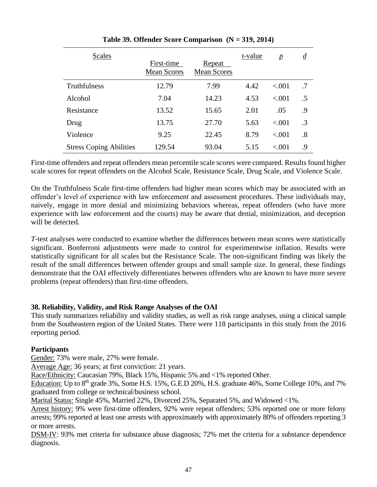| <b>Scales</b>                  | First-time         | Repeat             | <i>t</i> -value | $\mathbf{p}$ | $\underline{d}$ |
|--------------------------------|--------------------|--------------------|-----------------|--------------|-----------------|
|                                | <b>Mean Scores</b> | <b>Mean Scores</b> |                 |              |                 |
| Truthfulness                   | 12.79              | 7.99               | 4.42            | ${<}001$     | .7              |
| Alcohol                        | 7.04               | 14.23              | 4.53            | ${<}001$     | .5              |
| Resistance                     | 13.52              | 15.65              | 2.01            | .05          | .9              |
| Drug                           | 13.75              | 27.70              | 5.63            | < .001       | $\cdot$ 3       |
| Violence                       | 9.25               | 22.45              | 8.79            | < .001       | .8              |
| <b>Stress Coping Abilities</b> | 129.54             | 93.04              | 5.15            | ${<}001$     | .9              |

### **Table 39. Offender Score Comparison (N = 319, 2014)**

First-time offenders and repeat offenders mean percentile scale scores were compared. Results found higher scale scores for repeat offenders on the Alcohol Scale, Resistance Scale, Drug Scale, and Violence Scale.

On the Truthfulness Scale first-time offenders had higher mean scores which may be associated with an offender's level of experience with law enforcement and assessment procedures. These individuals may, naively, engage in more denial and minimizing behaviors whereas, repeat offenders (who have more experience with law enforcement and the courts) may be aware that denial, minimization, and deception will be detected.

*T*-test analyses were conducted to examine whether the differences between mean scores were statistically significant. Bonferroni adjustments were made to control for experimentwise inflation. Results were statistically significant for all scales but the Resistance Scale. The non-significant finding was likely the result of the small differences between offender groups and small sample size. In general, these findings demonstrate that the OAI effectively differentiates between offenders who are known to have more severe problems (repeat offenders) than first-time offenders.

### **38. Reliability, Validity, and Risk Range Analyses of the OAI**

This study summarizes reliability and validity studies, as well as risk range analyses, using a clinical sample from the Southeastern region of the United States. There were 118 participants in this study from the 2016 reporting period.

### **Participants**

Gender: 73% were male, 27% were female.

Average Age: 36 years; at first conviction: 21 years.

Race/Ethnicity: Caucasian 79%, Black 15%, Hispanic 5% and <1% reported Other.

Education: Up to 8<sup>th</sup> grade 3%, Some H.S. 15%, G.E.D 20%, H.S. graduate 46%, Some College 10%, and 7% graduated from college or technical/business school.

Marital Status: Single 45%, Married 22%, Divorced 25%, Separated 5%, and Widowed <1%.

Arrest history: 9% were first-time offenders, 92% were repeat offenders; 53% reported one or more felony arrests; 99% reported at least one arrests with approximately with approximately 80% of offenders reporting 3 or more arrests.

DSM-IV: 93% met criteria for substance abuse diagnosis; 72% met the criteria for a substance dependence diagnosis.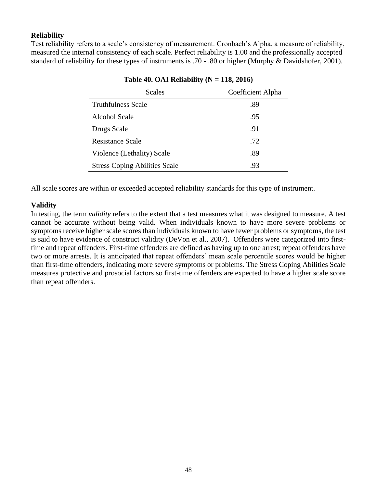### **Reliability**

Test reliability refers to a scale's consistency of measurement. Cronbach's Alpha, a measure of reliability, measured the internal consistency of each scale. Perfect reliability is 1.00 and the professionally accepted standard of reliability for these types of instruments is .70 - .80 or higher (Murphy & Davidshofer, 2001).

| <b>Scales</b>                        | Coefficient Alpha |
|--------------------------------------|-------------------|
| <b>Truthfulness Scale</b>            | .89               |
| Alcohol Scale                        | .95               |
| Drugs Scale                          | .91               |
| <b>Resistance Scale</b>              | .72               |
| Violence (Lethality) Scale           | .89               |
| <b>Stress Coping Abilities Scale</b> | .93               |

All scale scores are within or exceeded accepted reliability standards for this type of instrument.

### **Validity**

In testing, the term *validity* refers to the extent that a test measures what it was designed to measure. A test cannot be accurate without being valid. When individuals known to have more severe problems or symptoms receive higher scale scores than individuals known to have fewer problems or symptoms, the test is said to have evidence of construct validity (DeVon et al., 2007). Offenders were categorized into firsttime and repeat offenders. First-time offenders are defined as having up to one arrest; repeat offenders have two or more arrests. It is anticipated that repeat offenders' mean scale percentile scores would be higher than first-time offenders, indicating more severe symptoms or problems. The Stress Coping Abilities Scale measures protective and prosocial factors so first-time offenders are expected to have a higher scale score than repeat offenders.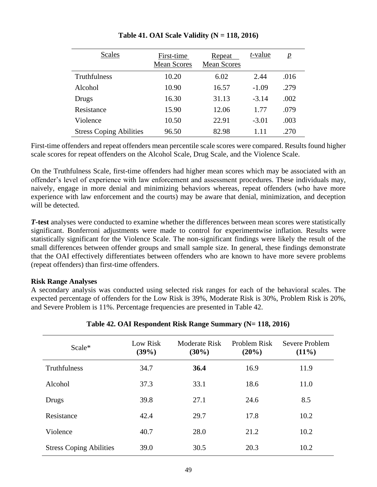| <b>Scales</b>                  | First-time<br><b>Mean Scores</b> | Repeat<br><b>Mean Scores</b> | <i>t</i> -value | $\boldsymbol{p}$ |
|--------------------------------|----------------------------------|------------------------------|-----------------|------------------|
| Truthfulness                   | 10.20                            | 6.02                         | 2.44            | .016             |
| Alcohol                        | 10.90                            | 16.57                        | $-1.09$         | .279             |
| Drugs                          | 16.30                            | 31.13                        | $-3.14$         | .002             |
| Resistance                     | 15.90                            | 12.06                        | 1.77            | .079             |
| Violence                       | 10.50                            | 22.91                        | $-3.01$         | .003             |
| <b>Stress Coping Abilities</b> | 96.50                            | 82.98                        | 1.11            | .270             |

**Table 41. OAI Scale Validity (N = 118, 2016)**

First-time offenders and repeat offenders mean percentile scale scores were compared. Results found higher scale scores for repeat offenders on the Alcohol Scale, Drug Scale, and the Violence Scale.

On the Truthfulness Scale, first-time offenders had higher mean scores which may be associated with an offender's level of experience with law enforcement and assessment procedures. These individuals may, naively, engage in more denial and minimizing behaviors whereas, repeat offenders (who have more experience with law enforcement and the courts) may be aware that denial, minimization, and deception will be detected.

*T***-test** analyses were conducted to examine whether the differences between mean scores were statistically significant. Bonferroni adjustments were made to control for experimentwise inflation. Results were statistically significant for the Violence Scale. The non-significant findings were likely the result of the small differences between offender groups and small sample size. In general, these findings demonstrate that the OAI effectively differentiates between offenders who are known to have more severe problems (repeat offenders) than first-time offenders.

### **Risk Range Analyses**

A secondary analysis was conducted using selected risk ranges for each of the behavioral scales. The expected percentage of offenders for the Low Risk is 39%, Moderate Risk is 30%, Problem Risk is 20%, and Severe Problem is 11%. Percentage frequencies are presented in Table 42.

| Scale*                         | Low Risk<br>(39%) | Moderate Risk<br>$(30\%)$ | Problem Risk<br>(20%) | Severe Problem<br>$(11\%)$ |
|--------------------------------|-------------------|---------------------------|-----------------------|----------------------------|
| Truthfulness                   | 34.7              | 36.4                      | 16.9                  | 11.9                       |
| Alcohol                        | 37.3              | 33.1                      | 18.6                  | 11.0                       |
| Drugs                          | 39.8              | 27.1                      | 24.6                  | 8.5                        |
| Resistance                     | 42.4              | 29.7                      | 17.8                  | 10.2                       |
| Violence                       | 40.7              | 28.0                      | 21.2                  | 10.2                       |
| <b>Stress Coping Abilities</b> | 39.0              | 30.5                      | 20.3                  | 10.2                       |

### **Table 42. OAI Respondent Risk Range Summary (N= 118, 2016)**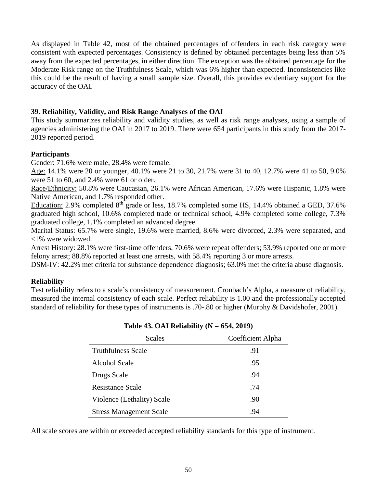As displayed in Table 42, most of the obtained percentages of offenders in each risk category were consistent with expected percentages. Consistency is defined by obtained percentages being less than 5% away from the expected percentages, in either direction. The exception was the obtained percentage for the Moderate Risk range on the Truthfulness Scale, which was 6% higher than expected. Inconsistencies like this could be the result of having a small sample size. Overall, this provides evidentiary support for the accuracy of the OAI.

### **39. Reliability, Validity, and Risk Range Analyses of the OAI**

This study summarizes reliability and validity studies, as well as risk range analyses, using a sample of agencies administering the OAI in 2017 to 2019. There were 654 participants in this study from the 2017- 2019 reported period.

### **Participants**

Gender: 71.6% were male, 28.4% were female.

Age: 14.1% were 20 or younger, 40.1% were 21 to 30, 21.7% were 31 to 40, 12.7% were 41 to 50, 9.0% were 51 to 60, and 2.4% were 61 or older.

Race/Ethnicity: 50.8% were Caucasian, 26.1% were African American, 17.6% were Hispanic, 1.8% were Native American, and 1.7% responded other.

Education: 2.9% completed 8<sup>th</sup> grade or less, 18.7% completed some HS, 14.4% obtained a GED, 37.6% graduated high school, 10.6% completed trade or technical school, 4.9% completed some college, 7.3% graduated college, 1.1% completed an advanced degree.

Marital Status: 65.7% were single, 19.6% were married, 8.6% were divorced, 2.3% were separated, and <1% were widowed.

Arrest History: 28.1% were first-time offenders, 70.6% were repeat offenders; 53.9% reported one or more felony arrest; 88.8% reported at least one arrests, with 58.4% reporting 3 or more arrests.

DSM-IV: 42.2% met criteria for substance dependence diagnosis; 63.0% met the criteria abuse diagnosis.

### **Reliability**

Test reliability refers to a scale's consistency of measurement. Cronbach's Alpha, a measure of reliability, measured the internal consistency of each scale. Perfect reliability is 1.00 and the professionally accepted standard of reliability for these types of instruments is .70-.80 or higher (Murphy & Davidshofer, 2001).

| $=$ $\frac{1}{2}$ $\frac{1}{2}$ $\frac{1}{2}$ $\frac{1}{2}$ $\frac{1}{2}$ $\frac{1}{2}$ $\frac{1}{2}$ $\frac{1}{2}$ $\frac{1}{2}$ $\frac{1}{2}$ $\frac{1}{2}$ $\frac{1}{2}$ $\frac{1}{2}$ $\frac{1}{2}$ $\frac{1}{2}$ $\frac{1}{2}$ $\frac{1}{2}$ $\frac{1}{2}$ $\frac{1}{2}$ $\frac{1}{2}$ $\frac{1}{2}$ $\frac{1}{2$ |                   |
|------------------------------------------------------------------------------------------------------------------------------------------------------------------------------------------------------------------------------------------------------------------------------------------------------------------------|-------------------|
| <b>Scales</b>                                                                                                                                                                                                                                                                                                          | Coefficient Alpha |
| <b>Truthfulness Scale</b>                                                                                                                                                                                                                                                                                              | .91               |
| Alcohol Scale                                                                                                                                                                                                                                                                                                          | .95               |
| Drugs Scale                                                                                                                                                                                                                                                                                                            | .94               |
| Resistance Scale                                                                                                                                                                                                                                                                                                       | .74               |
| Violence (Lethality) Scale                                                                                                                                                                                                                                                                                             | .90               |
| <b>Stress Management Scale</b>                                                                                                                                                                                                                                                                                         | .94               |
|                                                                                                                                                                                                                                                                                                                        |                   |

**Table 43. OAI Reliability (N = 654, 2019)**

All scale scores are within or exceeded accepted reliability standards for this type of instrument.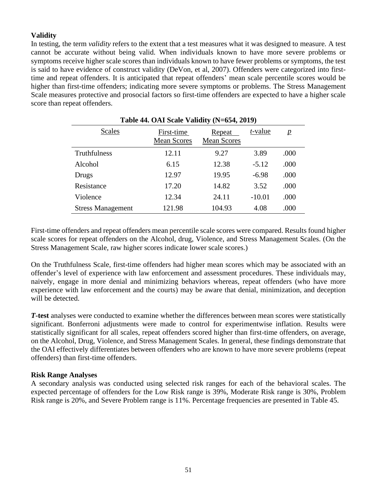### **Validity**

In testing, the term *validity* refers to the extent that a test measures what it was designed to measure. A test cannot be accurate without being valid. When individuals known to have more severe problems or symptoms receive higher scale scores than individuals known to have fewer problems or symptoms, the test is said to have evidence of construct validity (DeVon, et al, 2007). Offenders were categorized into firsttime and repeat offenders. It is anticipated that repeat offenders' mean scale percentile scores would be higher than first-time offenders; indicating more severe symptoms or problems. The Stress Management Scale measures protective and prosocial factors so first-time offenders are expected to have a higher scale score than repeat offenders.

| Table 44. OAI Scale Validity (N=654, 2019) |                                  |                                     |                 |                |  |
|--------------------------------------------|----------------------------------|-------------------------------------|-----------------|----------------|--|
| Scales                                     | First-time<br><b>Mean Scores</b> | <b>Repeat</b><br><b>Mean Scores</b> | <i>t</i> -value | $\overline{p}$ |  |
| Truthfulness                               | 12.11                            | 9.27                                | 3.89            | .000           |  |
| Alcohol                                    | 6.15                             | 12.38                               | $-5.12$         | .000           |  |
| Drugs                                      | 12.97                            | 19.95                               | $-6.98$         | .000           |  |
| Resistance                                 | 17.20                            | 14.82                               | 3.52            | .000           |  |
| Violence                                   | 12.34                            | 24.11                               | $-10.01$        | .000           |  |
| <b>Stress Management</b>                   | 121.98                           | 104.93                              | 4.08            | .000           |  |

First-time offenders and repeat offenders mean percentile scale scores were compared. Results found higher scale scores for repeat offenders on the Alcohol, drug, Violence, and Stress Management Scales. (On the Stress Management Scale, raw higher scores indicate lower scale scores.)

On the Truthfulness Scale, first-time offenders had higher mean scores which may be associated with an offender's level of experience with law enforcement and assessment procedures. These individuals may, naively, engage in more denial and minimizing behaviors whereas, repeat offenders (who have more experience with law enforcement and the courts) may be aware that denial, minimization, and deception will be detected.

*T***-test** analyses were conducted to examine whether the differences between mean scores were statistically significant. Bonferroni adjustments were made to control for experimentwise inflation. Results were statistically significant for all scales, repeat offenders scored higher than first-time offenders, on average, on the Alcohol, Drug, Violence, and Stress Management Scales. In general, these findings demonstrate that the OAI effectively differentiates between offenders who are known to have more severe problems (repeat offenders) than first-time offenders.

### **Risk Range Analyses**

A secondary analysis was conducted using selected risk ranges for each of the behavioral scales. The expected percentage of offenders for the Low Risk range is 39%, Moderate Risk range is 30%, Problem Risk range is 20%, and Severe Problem range is 11%. Percentage frequencies are presented in Table 45.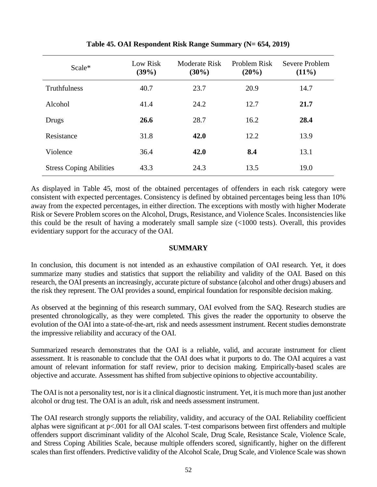| Scale*                         | Low Risk<br>(39%) | Moderate Risk<br>$(30\%)$ | Problem Risk<br>$(20\%)$ | Severe Problem<br>$(11\%)$ |
|--------------------------------|-------------------|---------------------------|--------------------------|----------------------------|
| Truthfulness                   | 40.7              | 23.7                      | 20.9                     | 14.7                       |
| Alcohol                        | 41.4              | 24.2                      | 12.7                     | 21.7                       |
| Drugs                          | 26.6              | 28.7                      | 16.2                     | 28.4                       |
| Resistance                     | 31.8              | 42.0                      | 12.2                     | 13.9                       |
| Violence                       | 36.4              | 42.0                      | 8.4                      | 13.1                       |
| <b>Stress Coping Abilities</b> | 43.3              | 24.3                      | 13.5                     | 19.0                       |

**Table 45. OAI Respondent Risk Range Summary (N= 654, 2019)**

As displayed in Table 45, most of the obtained percentages of offenders in each risk category were consistent with expected percentages. Consistency is defined by obtained percentages being less than 10% away from the expected percentages, in either direction. The exceptions with mostly with higher Moderate Risk or Severe Problem scores on the Alcohol, Drugs, Resistance, and Violence Scales. Inconsistencies like this could be the result of having a moderately small sample size (<1000 tests). Overall, this provides evidentiary support for the accuracy of the OAI.

### **SUMMARY**

In conclusion, this document is not intended as an exhaustive compilation of OAI research. Yet, it does summarize many studies and statistics that support the reliability and validity of the OAI. Based on this research, the OAI presents an increasingly, accurate picture of substance (alcohol and other drugs) abusers and the risk they represent. The OAI provides a sound, empirical foundation for responsible decision making.

As observed at the beginning of this research summary, OAI evolved from the SAQ. Research studies are presented chronologically, as they were completed. This gives the reader the opportunity to observe the evolution of the OAI into a state-of-the-art, risk and needs assessment instrument. Recent studies demonstrate the impressive reliability and accuracy of the OAI.

Summarized research demonstrates that the OAI is a reliable, valid, and accurate instrument for client assessment. It is reasonable to conclude that the OAI does what it purports to do. The OAI acquires a vast amount of relevant information for staff review, prior to decision making. Empirically-based scales are objective and accurate. Assessment has shifted from subjective opinions to objective accountability.

The OAI is not a personality test, nor is it a clinical diagnostic instrument. Yet, it is much more than just another alcohol or drug test. The OAI is an adult, risk and needs assessment instrument.

The OAI research strongly supports the reliability, validity, and accuracy of the OAI. Reliability coefficient alphas were significant at p<.001 for all OAI scales. T-test comparisons between first offenders and multiple offenders support discriminant validity of the Alcohol Scale, Drug Scale, Resistance Scale, Violence Scale, and Stress Coping Abilities Scale, because multiple offenders scored, significantly, higher on the different scales than first offenders. Predictive validity of the Alcohol Scale, Drug Scale, and Violence Scale was shown